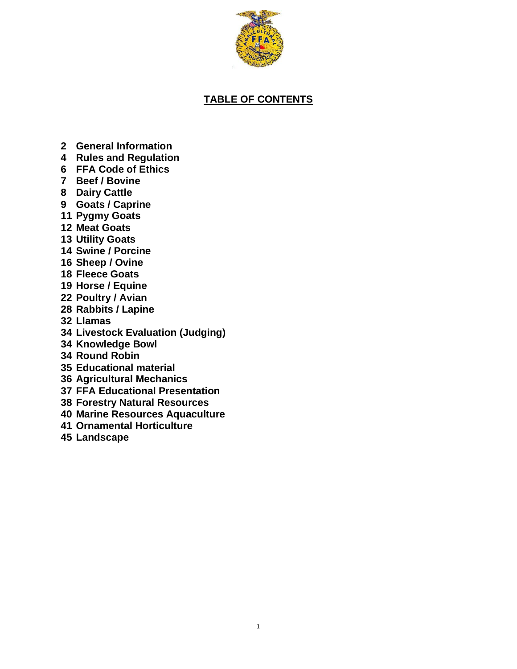

# **TABLE OF CONTENTS**

- **General Information**
- **Rules and Regulation**
- **FFA Code of Ethics**
- **Beef / Bovine**
- **Dairy Cattle**
- **Goats / Caprine**
- **Pygmy Goats**
- **Meat Goats**
- **Utility Goats**
- **Swine / Porcine**
- **Sheep / Ovine**
- **Fleece Goats**
- **Horse / Equine**
- **Poultry / Avian**
- **Rabbits / Lapine**
- **Llamas**
- **Livestock Evaluation (Judging)**
- **Knowledge Bowl**
- **Round Robin**
- **Educational material**
- **Agricultural Mechanics**
- **FFA Educational Presentation**
- **Forestry Natural Resources**
- **Marine Resources Aquaculture**
- **Ornamental Horticulture**
- **Landscape**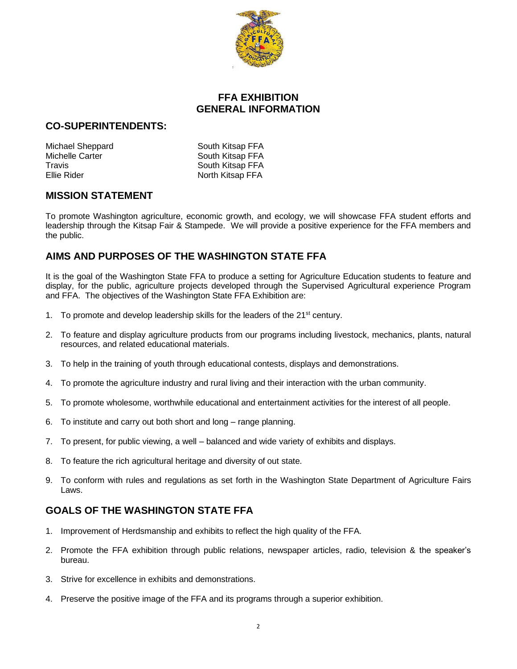

# **FFA EXHIBITION GENERAL INFORMATION**

## **CO-SUPERINTENDENTS:**

Michael Sheppard South Kitsap FFA Michelle Carter **South Kitsap FFA** Travis **Travis Travis Travis Travis Travis Travis CO** 

Ellie Rider North Kitsap FFA

## **MISSION STATEMENT**

To promote Washington agriculture, economic growth, and ecology, we will showcase FFA student efforts and leadership through the Kitsap Fair & Stampede. We will provide a positive experience for the FFA members and the public.

# **AIMS AND PURPOSES OF THE WASHINGTON STATE FFA**

It is the goal of the Washington State FFA to produce a setting for Agriculture Education students to feature and display, for the public, agriculture projects developed through the Supervised Agricultural experience Program and FFA. The objectives of the Washington State FFA Exhibition are:

- 1. To promote and develop leadership skills for the leaders of the  $21<sup>st</sup>$  century.
- 2. To feature and display agriculture products from our programs including livestock, mechanics, plants, natural resources, and related educational materials.
- 3. To help in the training of youth through educational contests, displays and demonstrations.
- 4. To promote the agriculture industry and rural living and their interaction with the urban community.
- 5. To promote wholesome, worthwhile educational and entertainment activities for the interest of all people.
- 6. To institute and carry out both short and long range planning.
- 7. To present, for public viewing, a well balanced and wide variety of exhibits and displays.
- 8. To feature the rich agricultural heritage and diversity of out state.
- 9. To conform with rules and regulations as set forth in the Washington State Department of Agriculture Fairs Laws.

# **GOALS OF THE WASHINGTON STATE FFA**

- 1. Improvement of Herdsmanship and exhibits to reflect the high quality of the FFA.
- 2. Promote the FFA exhibition through public relations, newspaper articles, radio, television & the speaker's bureau.
- 3. Strive for excellence in exhibits and demonstrations.
- 4. Preserve the positive image of the FFA and its programs through a superior exhibition.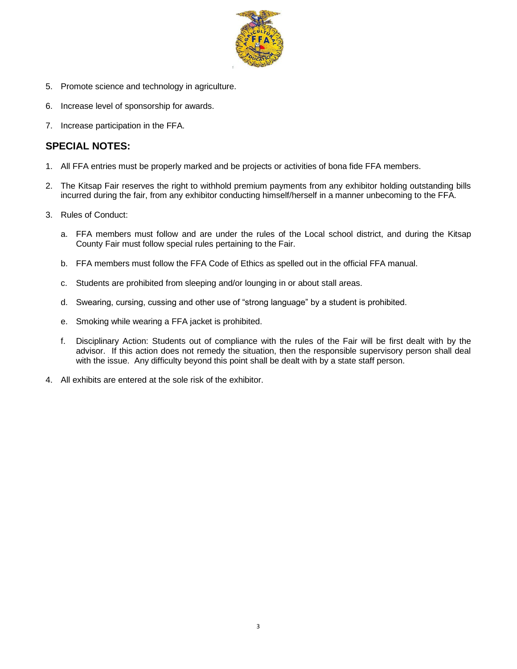

- 5. Promote science and technology in agriculture.
- 6. Increase level of sponsorship for awards.
- 7. Increase participation in the FFA.

## **SPECIAL NOTES:**

- 1. All FFA entries must be properly marked and be projects or activities of bona fide FFA members.
- 2. The Kitsap Fair reserves the right to withhold premium payments from any exhibitor holding outstanding bills incurred during the fair, from any exhibitor conducting himself/herself in a manner unbecoming to the FFA.
- 3. Rules of Conduct:
	- a. FFA members must follow and are under the rules of the Local school district, and during the Kitsap County Fair must follow special rules pertaining to the Fair.
	- b. FFA members must follow the FFA Code of Ethics as spelled out in the official FFA manual.
	- c. Students are prohibited from sleeping and/or lounging in or about stall areas.
	- d. Swearing, cursing, cussing and other use of "strong language" by a student is prohibited.
	- e. Smoking while wearing a FFA jacket is prohibited.
	- f. Disciplinary Action: Students out of compliance with the rules of the Fair will be first dealt with by the advisor. If this action does not remedy the situation, then the responsible supervisory person shall deal with the issue. Any difficulty beyond this point shall be dealt with by a state staff person.
- 4. All exhibits are entered at the sole risk of the exhibitor.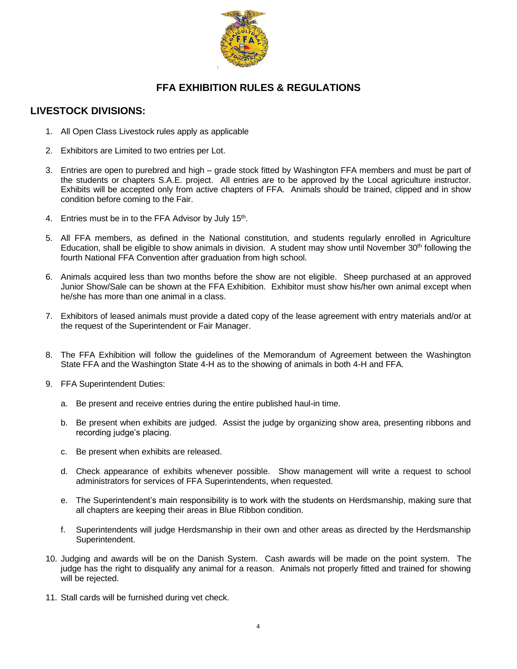

# **FFA EXHIBITION RULES & REGULATIONS**

## **LIVESTOCK DIVISIONS:**

- 1. All Open Class Livestock rules apply as applicable
- 2. Exhibitors are Limited to two entries per Lot.
- 3. Entries are open to purebred and high grade stock fitted by Washington FFA members and must be part of the students or chapters S.A.E. project. All entries are to be approved by the Local agriculture instructor. Exhibits will be accepted only from active chapters of FFA. Animals should be trained, clipped and in show condition before coming to the Fair.
- 4. Entries must be in to the FFA Advisor by July 15<sup>th</sup>.
- 5. All FFA members, as defined in the National constitution, and students regularly enrolled in Agriculture Education, shall be eligible to show animals in division. A student may show until November 30<sup>th</sup> following the fourth National FFA Convention after graduation from high school.
- 6. Animals acquired less than two months before the show are not eligible. Sheep purchased at an approved Junior Show/Sale can be shown at the FFA Exhibition. Exhibitor must show his/her own animal except when he/she has more than one animal in a class.
- 7. Exhibitors of leased animals must provide a dated copy of the lease agreement with entry materials and/or at the request of the Superintendent or Fair Manager.
- 8. The FFA Exhibition will follow the guidelines of the Memorandum of Agreement between the Washington State FFA and the Washington State 4-H as to the showing of animals in both 4-H and FFA.
- 9. FFA Superintendent Duties:
	- a. Be present and receive entries during the entire published haul-in time.
	- b. Be present when exhibits are judged. Assist the judge by organizing show area, presenting ribbons and recording judge's placing.
	- c. Be present when exhibits are released.
	- d. Check appearance of exhibits whenever possible. Show management will write a request to school administrators for services of FFA Superintendents, when requested.
	- e. The Superintendent's main responsibility is to work with the students on Herdsmanship, making sure that all chapters are keeping their areas in Blue Ribbon condition.
	- f. Superintendents will judge Herdsmanship in their own and other areas as directed by the Herdsmanship Superintendent.
- 10. Judging and awards will be on the Danish System. Cash awards will be made on the point system. The judge has the right to disqualify any animal for a reason. Animals not properly fitted and trained for showing will be rejected.
- 11. Stall cards will be furnished during vet check.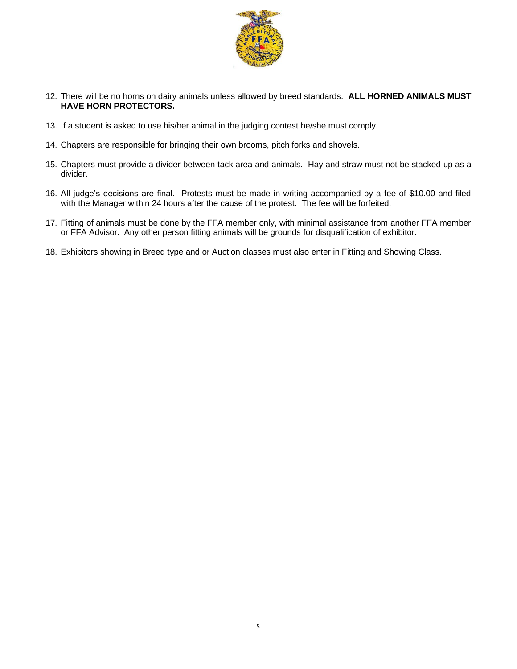

- 12. There will be no horns on dairy animals unless allowed by breed standards. **ALL HORNED ANIMALS MUST HAVE HORN PROTECTORS.**
- 13. If a student is asked to use his/her animal in the judging contest he/she must comply.
- 14. Chapters are responsible for bringing their own brooms, pitch forks and shovels.
- 15. Chapters must provide a divider between tack area and animals. Hay and straw must not be stacked up as a divider.
- 16. All judge's decisions are final. Protests must be made in writing accompanied by a fee of \$10.00 and filed with the Manager within 24 hours after the cause of the protest. The fee will be forfeited.
- 17. Fitting of animals must be done by the FFA member only, with minimal assistance from another FFA member or FFA Advisor. Any other person fitting animals will be grounds for disqualification of exhibitor.
- 18. Exhibitors showing in Breed type and or Auction classes must also enter in Fitting and Showing Class.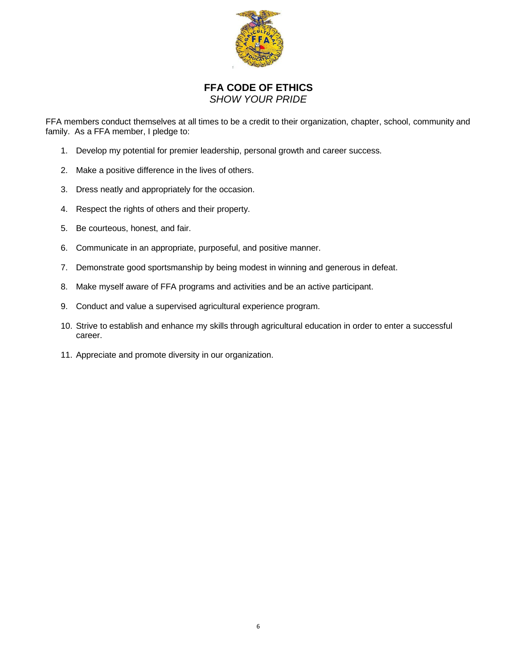

## **FFA CODE OF ETHICS** *SHOW YOUR PRIDE*

FFA members conduct themselves at all times to be a credit to their organization, chapter, school, community and family. As a FFA member, I pledge to:

- 1. Develop my potential for premier leadership, personal growth and career success.
- 2. Make a positive difference in the lives of others.
- 3. Dress neatly and appropriately for the occasion.
- 4. Respect the rights of others and their property.
- 5. Be courteous, honest, and fair.
- 6. Communicate in an appropriate, purposeful, and positive manner.
- 7. Demonstrate good sportsmanship by being modest in winning and generous in defeat.
- 8. Make myself aware of FFA programs and activities and be an active participant.
- 9. Conduct and value a supervised agricultural experience program.
- 10. Strive to establish and enhance my skills through agricultural education in order to enter a successful career.
- 11. Appreciate and promote diversity in our organization.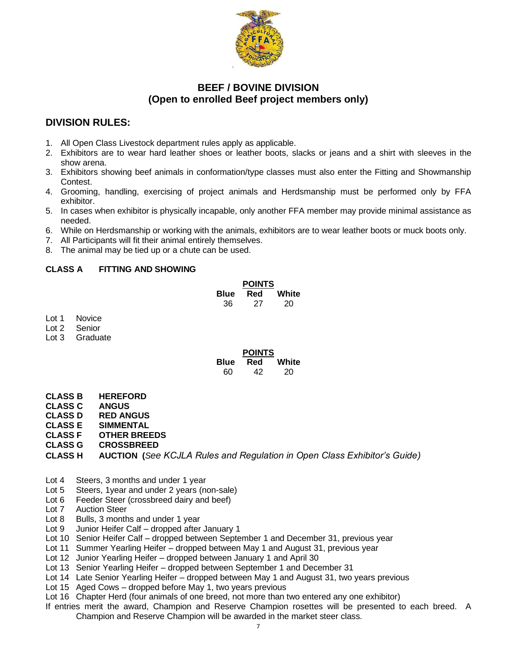

## **BEEF / BOVINE DIVISION (Open to enrolled Beef project members only)**

# **DIVISION RULES:**

- 1. All Open Class Livestock department rules apply as applicable.
- 2. Exhibitors are to wear hard leather shoes or leather boots, slacks or jeans and a shirt with sleeves in the show arena.
- 3. Exhibitors showing beef animals in conformation/type classes must also enter the Fitting and Showmanship Contest.
- 4. Grooming, handling, exercising of project animals and Herdsmanship must be performed only by FFA exhibitor.
- 5. In cases when exhibitor is physically incapable, only another FFA member may provide minimal assistance as needed.
- 6. While on Herdsmanship or working with the animals, exhibitors are to wear leather boots or muck boots only.
- 7. All Participants will fit their animal entirely themselves.
- 8. The animal may be tied up or a chute can be used.

## **CLASS A FITTING AND SHOWING**

|      | <b>POINTS</b> |       |
|------|---------------|-------|
| Blue | Red           | White |
| 36   | 27            | 20    |

- Lot 1 Novice
- Lot 2 Senior
- Lot 3 Graduate

|      | <b>POINTS</b> |       |
|------|---------------|-------|
| Blue | Red           | White |
| 60   | 42            | 20    |

- **CLASS B HEREFORD**
- **CLASS C ANGUS**
- **CLASS D RED ANGUS**
- **CLASS E SIMMENTAL**
- **CLASS F OTHER BREEDS**
- **CLASS G CROSSBREED**
- **CLASS H AUCTION (***See KCJLA Rules and Regulation in Open Class Exhibitor's Guide)*
- Lot 4 Steers, 3 months and under 1 year
- Lot 5 Steers, 1year and under 2 years (non-sale)
- Lot 6 Feeder Steer (crossbreed dairy and beef)
- Lot 7 Auction Steer
- Lot 8 Bulls, 3 months and under 1 year
- Lot 9 Junior Heifer Calf dropped after January 1
- Lot 10 Senior Heifer Calf dropped between September 1 and December 31, previous year
- Lot 11 Summer Yearling Heifer dropped between May 1 and August 31, previous year
- Lot 12 Junior Yearling Heifer dropped between January 1 and April 30
- Lot 13 Senior Yearling Heifer dropped between September 1 and December 31
- Lot 14 Late Senior Yearling Heifer dropped between May 1 and August 31, two years previous
- Lot 15 Aged Cows dropped before May 1, two years previous
- Lot 16 Chapter Herd (four animals of one breed, not more than two entered any one exhibitor)

If entries merit the award, Champion and Reserve Champion rosettes will be presented to each breed. A Champion and Reserve Champion will be awarded in the market steer class.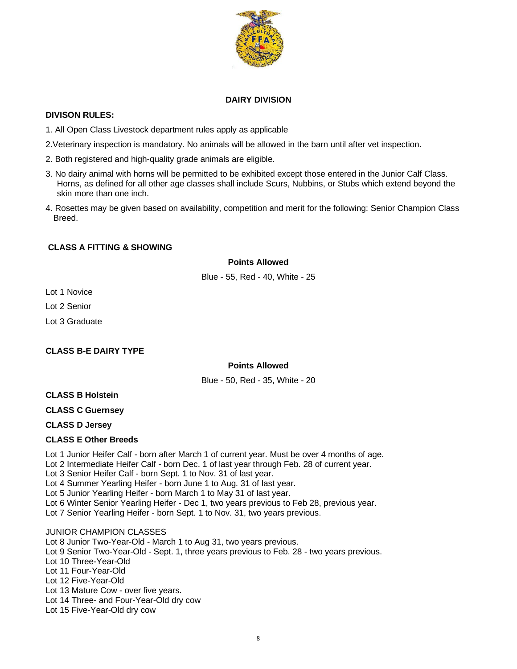

#### **DAIRY DIVISION**

#### **DIVISON RULES:**

- 1. All Open Class Livestock department rules apply as applicable
- 2.Veterinary inspection is mandatory. No animals will be allowed in the barn until after vet inspection.
- 2. Both registered and high-quality grade animals are eligible.
- 3. No dairy animal with horns will be permitted to be exhibited except those entered in the Junior Calf Class. Horns, as defined for all other age classes shall include Scurs, Nubbins, or Stubs which extend beyond the skin more than one inch.
- 4. Rosettes may be given based on availability, competition and merit for the following: Senior Champion Class Breed.

## **CLASS A FITTING & SHOWING**

#### **Points Allowed**

Blue - 55, Red - 40, White - 25

Lot 1 Novice

Lot 2 Senior

Lot 3 Graduate

## **CLASS B-E DAIRY TYPE**

## **Points Allowed**

Blue - 50, Red - 35, White - 20

## **CLASS B Holstein**

**CLASS C Guernsey**

**CLASS D Jersey**

#### **CLASS E Other Breeds**

Lot 1 Junior Heifer Calf - born after March 1 of current year. Must be over 4 months of age. Lot 2 Intermediate Heifer Calf - born Dec. 1 of last year through Feb. 28 of current year. Lot 3 Senior Heifer Calf - born Sept. 1 to Nov. 31 of last year. Lot 4 Summer Yearling Heifer - born June 1 to Aug. 31 of last year. Lot 5 Junior Yearling Heifer - born March 1 to May 31 of last year. Lot 6 Winter Senior Yearling Heifer - Dec 1, two years previous to Feb 28, previous year. Lot 7 Senior Yearling Heifer - born Sept. 1 to Nov. 31, two years previous.

JUNIOR CHAMPION CLASSES Lot 8 Junior Two-Year-Old - March 1 to Aug 31, two years previous. Lot 9 Senior Two-Year-Old - Sept. 1, three years previous to Feb. 28 - two years previous. Lot 10 Three-Year-Old Lot 11 Four-Year-Old Lot 12 Five-Year-Old Lot 13 Mature Cow - over five years. Lot 14 Three- and Four-Year-Old dry cow Lot 15 Five-Year-Old dry cow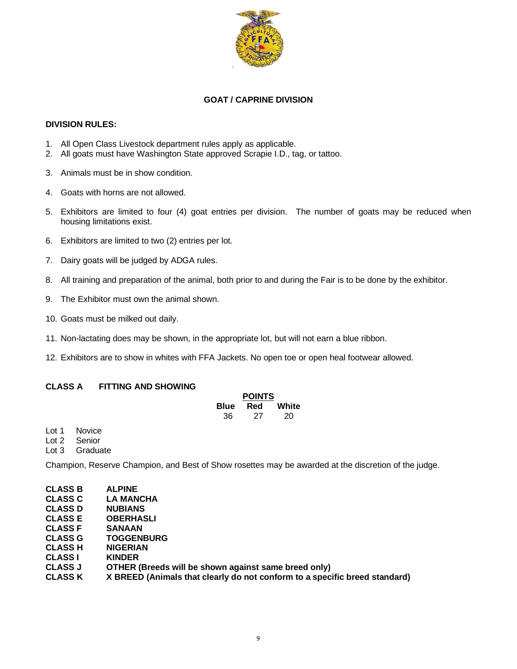

## **GOAT / CAPRINE DIVISION**

#### **DIVISION RULES:**

- 1. All Open Class Livestock department rules apply as applicable.
- 2. All goats must have Washington State approved Scrapie I.D., tag, or tattoo.
- 3. Animals must be in show condition.
- 4. Goats with horns are not allowed.
- 5. Exhibitors are limited to four (4) goat entries per division. The number of goats may be reduced when housing limitations exist.
- 6. Exhibitors are limited to two (2) entries per lot.
- 7. Dairy goats will be judged by ADGA rules.
- 8. All training and preparation of the animal, both prior to and during the Fair is to be done by the exhibitor.
- 9. The Exhibitor must own the animal shown.
- 10. Goats must be milked out daily.
- 11. Non-lactating does may be shown, in the appropriate lot, but will not earn a blue ribbon.
- 12. Exhibitors are to show in whites with FFA Jackets. No open toe or open heal footwear allowed.

## **CLASS A FITTING AND SHOWING**

|             | <b>POINTS</b> |       |
|-------------|---------------|-------|
| <b>Blue</b> | Red           | White |
| 36          | 27            | 20    |

Lot 1 Novice

Lot 2 Senior

Lot 3 Graduate

Champion, Reserve Champion, and Best of Show rosettes may be awarded at the discretion of the judge.

| <b>CLASS B</b> | <b>ALPINE</b>                                                              |
|----------------|----------------------------------------------------------------------------|
| <b>CLASS C</b> | <b>LA MANCHA</b>                                                           |
| <b>CLASS D</b> | <b>NUBIANS</b>                                                             |
| <b>CLASS E</b> | <b>OBERHASLI</b>                                                           |
| <b>CLASS F</b> | <b>SANAAN</b>                                                              |
| <b>CLASS G</b> | <b>TOGGENBURG</b>                                                          |
| <b>CLASS H</b> | <b>NIGERIAN</b>                                                            |
| <b>CLASS I</b> | <b>KINDER</b>                                                              |
| <b>CLASS J</b> | OTHER (Breeds will be shown against same breed only)                       |
| <b>CLASS K</b> | X BREED (Animals that clearly do not conform to a specific breed standard) |
|                |                                                                            |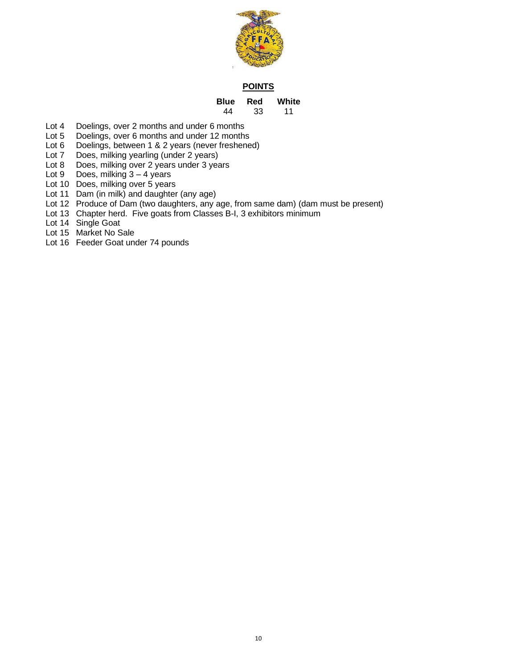

#### **POINTS**

#### **Blue Red White** 33

- Lot 4 Doelings, over 2 months and under 6 months<br>Lot 5 Doelings, over 6 months and under 12 months
- Doelings, over 6 months and under 12 months
- Lot 6 Doelings, between 1 & 2 years (never freshened)<br>Lot 7 Does, milking yearling (under 2 years)
- Does, milking yearling (under 2 years)
- Lot 8 Does, milking over 2 years under 3 years
- Lot  $9$  Does, milking  $3 4$  years
- Lot 10 Does, milking over 5 years
- Lot 11 Dam (in milk) and daughter (any age)
- Lot 12 Produce of Dam (two daughters, any age, from same dam) (dam must be present)
- Lot 13 Chapter herd. Five goats from Classes B-I, 3 exhibitors minimum
- Lot 14 Single Goat
- Lot 15 Market No Sale
- Lot 16 Feeder Goat under 74 pounds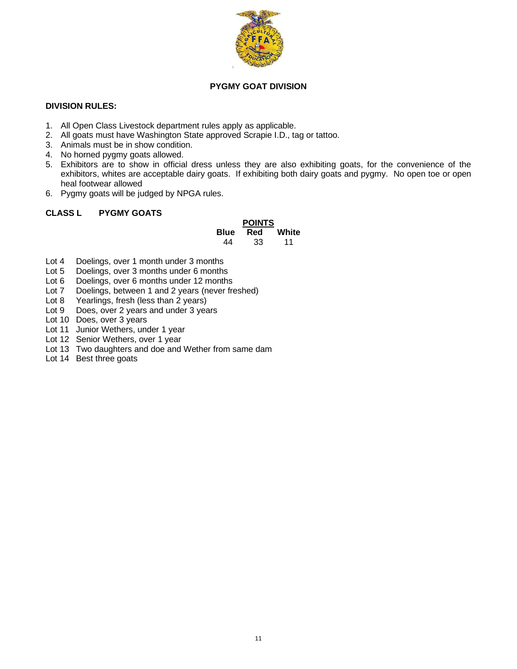

## **PYGMY GOAT DIVISION**

#### **DIVISION RULES:**

- 1. All Open Class Livestock department rules apply as applicable.
- 2. All goats must have Washington State approved Scrapie I.D., tag or tattoo.
- 3. Animals must be in show condition.
- 4. No horned pygmy goats allowed.
- 5. Exhibitors are to show in official dress unless they are also exhibiting goats, for the convenience of the exhibitors, whites are acceptable dairy goats. If exhibiting both dairy goats and pygmy. No open toe or open heal footwear allowed
- 6. Pygmy goats will be judged by NPGA rules.

#### **CLASS L PYGMY GOATS**

#### **POINTS Blue Red White** 44 33 11

- Lot 4 Doelings, over 1 month under 3 months
- Lot 5 Doelings, over 3 months under 6 months
- Lot 6 Doelings, over 6 months under 12 months
- Lot 7 Doelings, between 1 and 2 years (never freshed)
- Lot 8 Yearlings, fresh (less than 2 years)
- Lot 9 Does, over 2 years and under 3 years
- Lot 10 Does, over 3 years
- Lot 11 Junior Wethers, under 1 year
- Lot 12 Senior Wethers, over 1 year
- Lot 13 Two daughters and doe and Wether from same dam
- Lot 14 Best three goats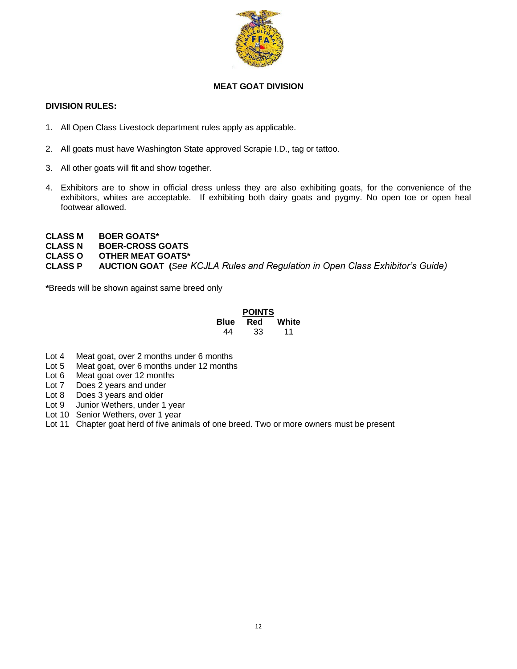

## **MEAT GOAT DIVISION**

#### **DIVISION RULES:**

- 1. All Open Class Livestock department rules apply as applicable.
- 2. All goats must have Washington State approved Scrapie I.D., tag or tattoo.
- 3. All other goats will fit and show together.
- 4. Exhibitors are to show in official dress unless they are also exhibiting goats, for the convenience of the exhibitors, whites are acceptable. If exhibiting both dairy goats and pygmy. No open toe or open heal footwear allowed.
- **CLASS M BOER GOATS\***
- **CLASS N BOER-CROSS GOATS**
- **CLASS O OTHER MEAT GOATS\***

**CLASS P AUCTION GOAT (***See KCJLA Rules and Regulation in Open Class Exhibitor's Guide)*

**\***Breeds will be shown against same breed only

#### **POINTS Blue Red White** 44 33 11

- Lot 4 Meat goat, over 2 months under 6 months
- Lot 5 Meat goat, over 6 months under 12 months
- Lot 6 Meat goat over 12 months
- Lot 7 Does 2 years and under
- Lot 8 Does 3 years and older
- Lot 9 Junior Wethers, under 1 year
- Lot 10 Senior Wethers, over 1 year
- Lot 11 Chapter goat herd of five animals of one breed. Two or more owners must be present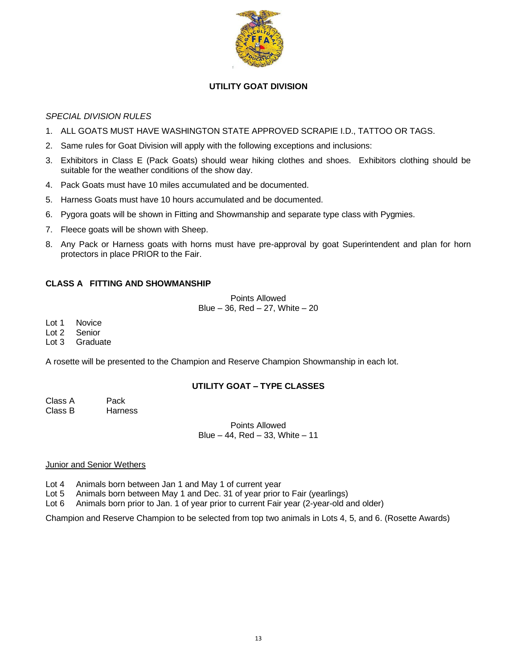

## **UTILITY GOAT DIVISION**

## *SPECIAL DIVISION RULES*

- 1. ALL GOATS MUST HAVE WASHINGTON STATE APPROVED SCRAPIE I.D., TATTOO OR TAGS.
- 2. Same rules for Goat Division will apply with the following exceptions and inclusions:
- 3. Exhibitors in Class E (Pack Goats) should wear hiking clothes and shoes. Exhibitors clothing should be suitable for the weather conditions of the show day.
- 4. Pack Goats must have 10 miles accumulated and be documented.
- 5. Harness Goats must have 10 hours accumulated and be documented.
- 6. Pygora goats will be shown in Fitting and Showmanship and separate type class with Pygmies.
- 7. Fleece goats will be shown with Sheep.
- 8. Any Pack or Harness goats with horns must have pre-approval by goat Superintendent and plan for horn protectors in place PRIOR to the Fair.

## **CLASS A FITTING AND SHOWMANSHIP**

Points Allowed Blue  $-36$ , Red  $-27$ , White  $-20$ 

Lot 1 Novice

Lot 2 Senior

Lot 3 Graduate

A rosette will be presented to the Champion and Reserve Champion Showmanship in each lot.

## **UTILITY GOAT – TYPE CLASSES**

Class A Pack Class B Harness

> Points Allowed Blue – 44, Red – 33, White – 11

## **Junior and Senior Wethers**

Lot 4 Animals born between Jan 1 and May 1 of current year

- Lot 5 Animals born between May 1 and Dec. 31 of year prior to Fair (yearlings)
- Lot 6 Animals born prior to Jan. 1 of year prior to current Fair year (2-year-old and older)

Champion and Reserve Champion to be selected from top two animals in Lots 4, 5, and 6. (Rosette Awards)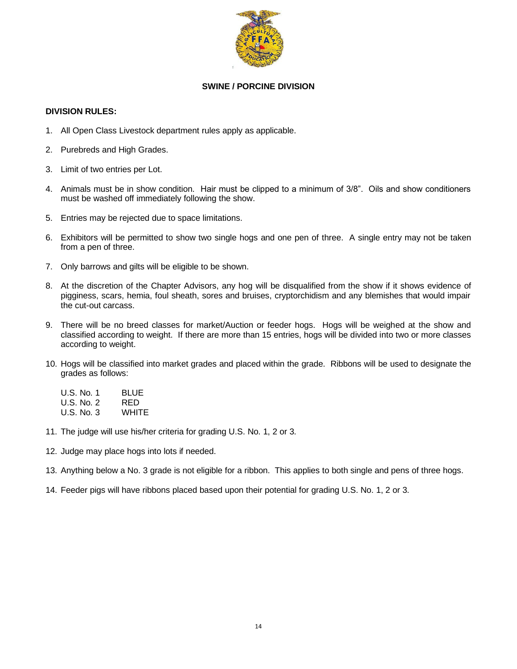

## **SWINE / PORCINE DIVISION**

#### **DIVISION RULES:**

- 1. All Open Class Livestock department rules apply as applicable.
- 2. Purebreds and High Grades.
- 3. Limit of two entries per Lot.
- 4. Animals must be in show condition. Hair must be clipped to a minimum of 3/8". Oils and show conditioners must be washed off immediately following the show.
- 5. Entries may be rejected due to space limitations.
- 6. Exhibitors will be permitted to show two single hogs and one pen of three. A single entry may not be taken from a pen of three.
- 7. Only barrows and gilts will be eligible to be shown.
- 8. At the discretion of the Chapter Advisors, any hog will be disqualified from the show if it shows evidence of pigginess, scars, hemia, foul sheath, sores and bruises, cryptorchidism and any blemishes that would impair the cut-out carcass.
- 9. There will be no breed classes for market/Auction or feeder hogs. Hogs will be weighed at the show and classified according to weight. If there are more than 15 entries, hogs will be divided into two or more classes according to weight.
- 10. Hogs will be classified into market grades and placed within the grade. Ribbons will be used to designate the grades as follows:

| U.S. No. 1 | <b>BLUE</b> |
|------------|-------------|
| U.S. No. 2 | RED         |
| U.S. No. 3 | WHITE       |

- 11. The judge will use his/her criteria for grading U.S. No. 1, 2 or 3.
- 12. Judge may place hogs into lots if needed.
- 13. Anything below a No. 3 grade is not eligible for a ribbon. This applies to both single and pens of three hogs.
- 14. Feeder pigs will have ribbons placed based upon their potential for grading U.S. No. 1, 2 or 3.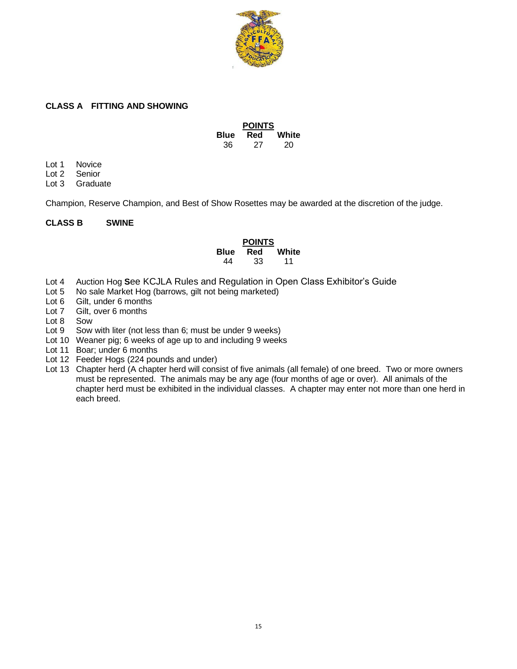

#### **CLASS A FITTING AND SHOWING**

|             | <b>POINTS</b> |       |
|-------------|---------------|-------|
| <b>Blue</b> | Red           | White |
| 36          | 27            | 20    |

Lot 1 Novice<br>Lot 2 Senior

Senior

Lot 3 Graduate

Champion, Reserve Champion, and Best of Show Rosettes may be awarded at the discretion of the judge.

#### **CLASS B SWINE**

#### **POINTS Blue Red White** 44 33 11

- Lot 4 Auction Hog **S**ee KCJLA Rules and Regulation in Open Class Exhibitor's Guide
- Lot 5 No sale Market Hog (barrows, gilt not being marketed)
- Lot 6 Gilt, under 6 months
- Lot 7 Gilt, over 6 months
- Lot 8 Sow
- Lot 9 Sow with liter (not less than 6; must be under 9 weeks)
- Lot 10 Weaner pig; 6 weeks of age up to and including 9 weeks
- Lot 11 Boar; under 6 months
- Lot 12 Feeder Hogs (224 pounds and under)
- Lot 13 Chapter herd (A chapter herd will consist of five animals (all female) of one breed. Two or more owners must be represented. The animals may be any age (four months of age or over). All animals of the chapter herd must be exhibited in the individual classes. A chapter may enter not more than one herd in each breed.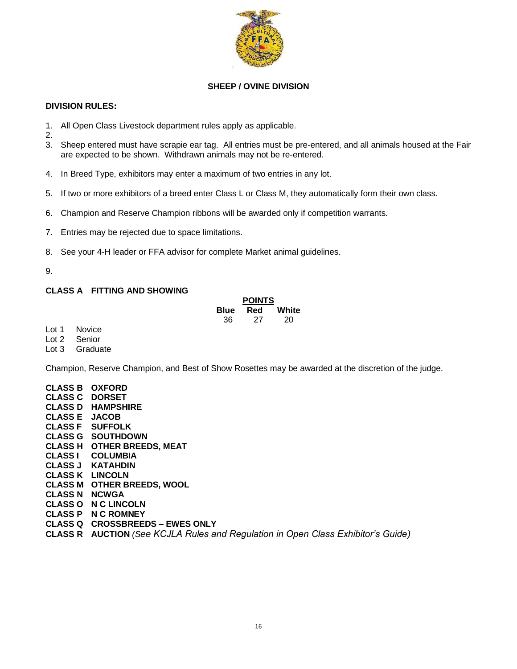

## **SHEEP / OVINE DIVISION**

#### **DIVISION RULES:**

- 1. All Open Class Livestock department rules apply as applicable.
- 2.
- 3. Sheep entered must have scrapie ear tag. All entries must be pre-entered, and all animals housed at the Fair are expected to be shown. Withdrawn animals may not be re-entered.
- 4. In Breed Type, exhibitors may enter a maximum of two entries in any lot.
- 5. If two or more exhibitors of a breed enter Class L or Class M, they automatically form their own class.
- 6. Champion and Reserve Champion ribbons will be awarded only if competition warrants.
- 7. Entries may be rejected due to space limitations.
- 8. See your 4-H leader or FFA advisor for complete Market animal guidelines.

## 9.

## **CLASS A FITTING AND SHOWING**

| <b>POINTS</b> |     |       |  |
|---------------|-----|-------|--|
| <b>Blue</b>   | Red | White |  |
| 36            | 27  | 20    |  |

Lot 1 Novice<br>Lot 2 Senior

Senior Lot 3 Graduate

Champion, Reserve Champion, and Best of Show Rosettes may be awarded at the discretion of the judge.

| <b>CLASS B OXFORD</b> |                                                                                         |
|-----------------------|-----------------------------------------------------------------------------------------|
| <b>CLASS C DORSET</b> |                                                                                         |
|                       | <b>CLASS D HAMPSHIRE</b>                                                                |
| <b>CLASS E JACOB</b>  |                                                                                         |
|                       | <b>CLASS F</b> SUFFOLK                                                                  |
|                       | <b>CLASS G SOUTHDOWN</b>                                                                |
|                       | <b>CLASS H OTHER BREEDS, MEAT</b>                                                       |
|                       | <b>CLASS I COLUMBIA</b>                                                                 |
|                       | CLASS J KATAHDIN                                                                        |
|                       | <b>CLASS K LINCOLN</b>                                                                  |
|                       | <b>CLASS M OTHER BREEDS, WOOL</b>                                                       |
| <b>CLASS N NCWGA</b>  |                                                                                         |
|                       | <b>CLASS O N C LINCOLN</b>                                                              |
|                       | <b>CLASS P N C ROMNEY</b>                                                               |
|                       | <b>CLASS Q CROSSBREEDS – EWES ONLY</b>                                                  |
|                       | <b>CLASS R</b> AUCTION (See KCJLA Rules and Regulation in Open Class Exhibitor's Guide) |
|                       |                                                                                         |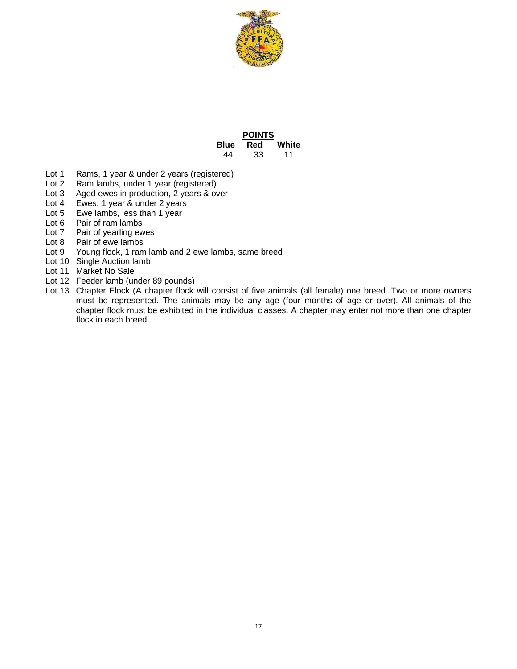

|      | <b>POINTS</b> |       |  |
|------|---------------|-------|--|
| Blue | Red           | White |  |
| 44   | 33            | 11    |  |

- Lot 1 Rams, 1 year & under 2 years (registered)
- Lot 2 Ram lambs, under 1 year (registered)<br>Lot 3 Aged ewes in production, 2 years & ov
- Aged ewes in production, 2 years & over
- Lot 4 Ewes, 1 year & under 2 years
- Lot 5 Ewe lambs, less than 1 year
- Lot 6 Pair of ram lambs
- Lot 7 Pair of yearling ewes
- Lot 8 Pair of ewe lambs
- Lot 9 Young flock, 1 ram lamb and 2 ewe lambs, same breed
- Lot 10 Single Auction lamb
- Lot 11 Market No Sale
- Lot 12 Feeder lamb (under 89 pounds)
- Lot 13 Chapter Flock (A chapter flock will consist of five animals (all female) one breed. Two or more owners must be represented. The animals may be any age (four months of age or over). All animals of the chapter flock must be exhibited in the individual classes. A chapter may enter not more than one chapter flock in each breed.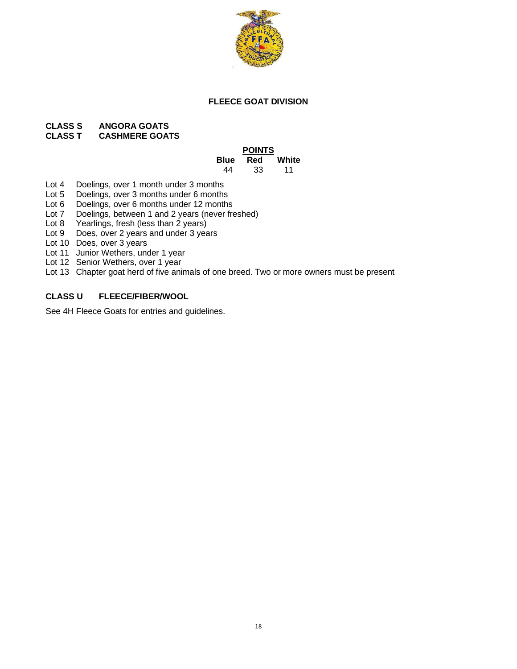

#### **FLEECE GOAT DIVISION**

#### **CLASS S ANGORA GOATS CASHMERE GOATS**

#### **POINTS Blue Red White** 44 33 11

- Lot 4 Doelings, over 1 month under 3 months
- Lot 5 Doelings, over 3 months under 6 months
- Lot 6 Doelings, over 6 months under 12 months
- Lot 7 Doelings, between 1 and 2 years (never freshed)
- Lot 8 Yearlings, fresh (less than 2 years)
- Lot 9 Does, over 2 years and under 3 years
- Lot 10 Does, over 3 years
- Lot 11 Junior Wethers, under 1 year
- Lot 12 Senior Wethers, over 1 year
- Lot 13 Chapter goat herd of five animals of one breed. Two or more owners must be present

## **CLASS U FLEECE/FIBER/WOOL**

See 4H Fleece Goats for entries and guidelines.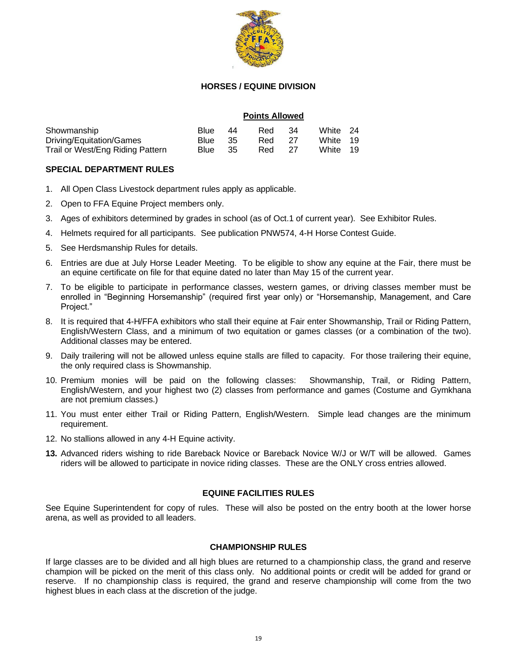

#### **HORSES / EQUINE DIVISION**

#### **Points Allowed**

| Showmanship                      | Blue    | - 44 | Red    | - 34 | White 24 |  |
|----------------------------------|---------|------|--------|------|----------|--|
| Driving/Equitation/Games         | Blue 35 |      | Red 27 |      | White 19 |  |
| Trail or West/Eng Riding Pattern | Blue 35 |      | Red 27 |      | White 19 |  |

#### **SPECIAL DEPARTMENT RULES**

- 1. All Open Class Livestock department rules apply as applicable.
- 2. Open to FFA Equine Project members only.
- 3. Ages of exhibitors determined by grades in school (as of Oct.1 of current year). See Exhibitor Rules.
- 4. Helmets required for all participants. See publication PNW574, 4-H Horse Contest Guide.
- 5. See Herdsmanship Rules for details.
- 6. Entries are due at July Horse Leader Meeting. To be eligible to show any equine at the Fair, there must be an equine certificate on file for that equine dated no later than May 15 of the current year.
- 7. To be eligible to participate in performance classes, western games, or driving classes member must be enrolled in "Beginning Horsemanship" (required first year only) or "Horsemanship, Management, and Care Project."
- 8. It is required that 4-H/FFA exhibitors who stall their equine at Fair enter Showmanship, Trail or Riding Pattern, English/Western Class, and a minimum of two equitation or games classes (or a combination of the two). Additional classes may be entered.
- 9. Daily trailering will not be allowed unless equine stalls are filled to capacity. For those trailering their equine, the only required class is Showmanship.
- 10. Premium monies will be paid on the following classes: Showmanship, Trail, or Riding Pattern, English/Western, and your highest two (2) classes from performance and games (Costume and Gymkhana are not premium classes.)
- 11. You must enter either Trail or Riding Pattern, English/Western. Simple lead changes are the minimum requirement.
- 12. No stallions allowed in any 4-H Equine activity.
- **13.** Advanced riders wishing to ride Bareback Novice or Bareback Novice W/J or W/T will be allowed. Games riders will be allowed to participate in novice riding classes. These are the ONLY cross entries allowed.

## **EQUINE FACILITIES RULES**

See Equine Superintendent for copy of rules. These will also be posted on the entry booth at the lower horse arena, as well as provided to all leaders.

#### **CHAMPIONSHIP RULES**

If large classes are to be divided and all high blues are returned to a championship class, the grand and reserve champion will be picked on the merit of this class only. No additional points or credit will be added for grand or reserve. If no championship class is required, the grand and reserve championship will come from the two highest blues in each class at the discretion of the judge.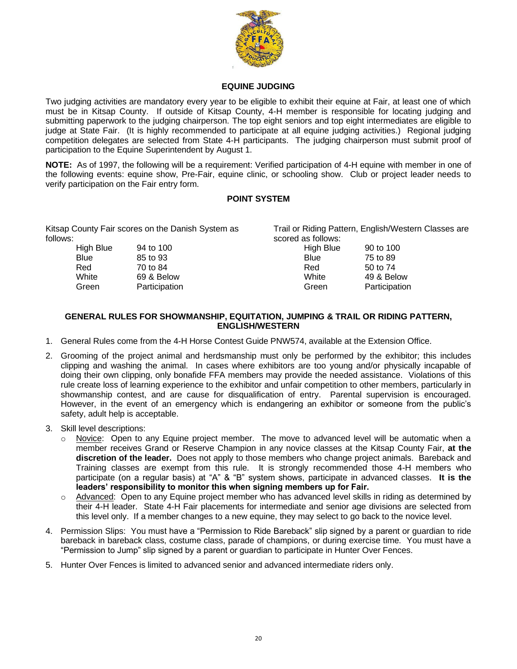

#### **EQUINE JUDGING**

Two judging activities are mandatory every year to be eligible to exhibit their equine at Fair, at least one of which must be in Kitsap County. If outside of Kitsap County, 4-H member is responsible for locating judging and submitting paperwork to the judging chairperson. The top eight seniors and top eight intermediates are eligible to judge at State Fair. (It is highly recommended to participate at all equine judging activities.) Regional judging competition delegates are selected from State 4-H participants. The judging chairperson must submit proof of participation to the Equine Superintendent by August 1.

**NOTE:** As of 1997, the following will be a requirement: Verified participation of 4-H equine with member in one of the following events: equine show, Pre-Fair, equine clinic, or schooling show. Club or project leader needs to verify participation on the Fair entry form.

#### **POINT SYSTEM**

Kitsap County Fair scores on the Danish System as follows:

High Blue 94 to 100 Blue 85 to 93 Red 70 to 84 White 69 & Below Green Participation Trail or Riding Pattern, English/Western Classes are scored as follows: High Blue 90 to 100

Blue 75 to 89 Red 50 to 74 White 49 & Below Green Participation

#### **GENERAL RULES FOR SHOWMANSHIP, EQUITATION, JUMPING & TRAIL OR RIDING PATTERN, ENGLISH/WESTERN**

- 1. General Rules come from the 4-H Horse Contest Guide PNW574, available at the Extension Office.
- 2. Grooming of the project animal and herdsmanship must only be performed by the exhibitor; this includes clipping and washing the animal. In cases where exhibitors are too young and/or physically incapable of doing their own clipping, only bonafide FFA members may provide the needed assistance. Violations of this rule create loss of learning experience to the exhibitor and unfair competition to other members, particularly in showmanship contest, and are cause for disqualification of entry. Parental supervision is encouraged. However, in the event of an emergency which is endangering an exhibitor or someone from the public's safety, adult help is acceptable.
- 3. Skill level descriptions:
	- Novice: Open to any Equine project member. The move to advanced level will be automatic when a member receives Grand or Reserve Champion in any novice classes at the Kitsap County Fair, **at the discretion of the leader.** Does not apply to those members who change project animals. Bareback and Training classes are exempt from this rule. It is strongly recommended those 4-H members who participate (on a regular basis) at "A" & "B" system shows, participate in advanced classes. **It is the leaders' responsibility to monitor this when signing members up for Fair.**
	- o Advanced: Open to any Equine project member who has advanced level skills in riding as determined by their 4-H leader. State 4-H Fair placements for intermediate and senior age divisions are selected from this level only. If a member changes to a new equine, they may select to go back to the novice level.
- 4. Permission Slips: You must have a "Permission to Ride Bareback" slip signed by a parent or guardian to ride bareback in bareback class, costume class, parade of champions, or during exercise time. You must have a "Permission to Jump" slip signed by a parent or guardian to participate in Hunter Over Fences.
- 5. Hunter Over Fences is limited to advanced senior and advanced intermediate riders only.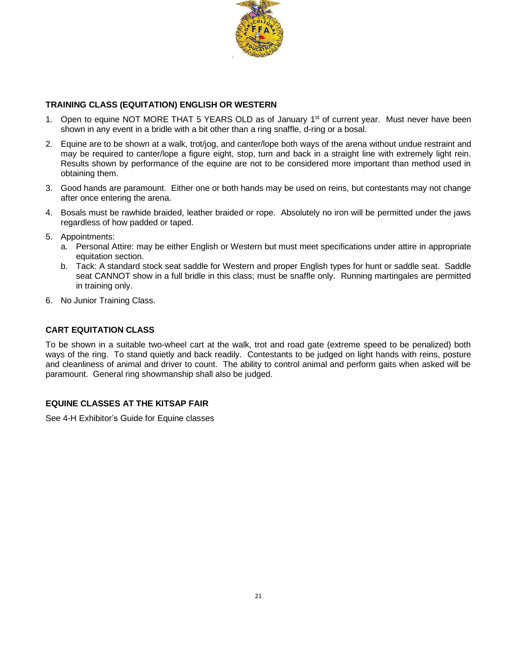

## **TRAINING CLASS (EQUITATION) ENGLISH OR WESTERN**

- 1. Open to equine NOT MORE THAT 5 YEARS OLD as of January 1<sup>st</sup> of current year. Must never have been shown in any event in a bridle with a bit other than a ring snaffle, d-ring or a bosal.
- 2. Equine are to be shown at a walk, trot/jog, and canter/lope both ways of the arena without undue restraint and may be required to canter/lope a figure eight, stop, turn and back in a straight line with extremely light rein. Results shown by performance of the equine are not to be considered more important than method used in obtaining them.
- 3. Good hands are paramount. Either one or both hands may be used on reins, but contestants may not change after once entering the arena.
- 4. Bosals must be rawhide braided, leather braided or rope. Absolutely no iron will be permitted under the jaws regardless of how padded or taped.
- 5. Appointments:
	- a. Personal Attire: may be either English or Western but must meet specifications under attire in appropriate equitation section.
	- b. Tack: A standard stock seat saddle for Western and proper English types for hunt or saddle seat. Saddle seat CANNOT show in a full bridle in this class; must be snaffle only. Running martingales are permitted in training only.
- 6. No Junior Training Class.

## **CART EQUITATION CLASS**

To be shown in a suitable two-wheel cart at the walk, trot and road gate (extreme speed to be penalized) both ways of the ring. To stand quietly and back readily. Contestants to be judged on light hands with reins, posture and cleanliness of animal and driver to count. The ability to control animal and perform gaits when asked will be paramount. General ring showmanship shall also be judged.

## **EQUINE CLASSES AT THE KITSAP FAIR**

See 4-H Exhibitor's Guide for Equine classes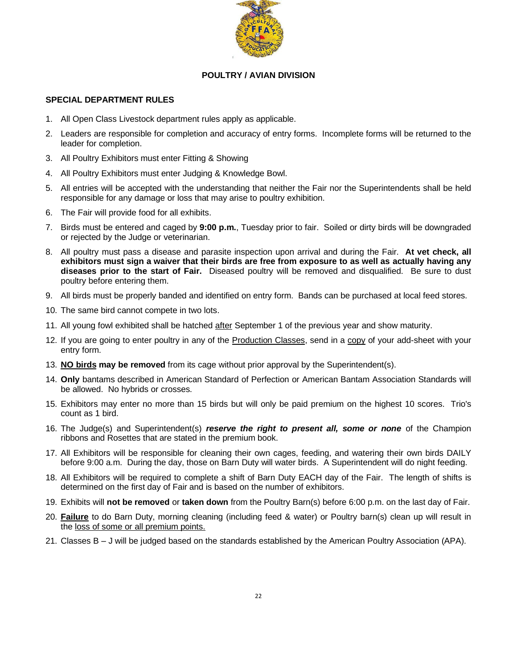

#### **POULTRY / AVIAN DIVISION**

#### **SPECIAL DEPARTMENT RULES**

- 1. All Open Class Livestock department rules apply as applicable.
- 2. Leaders are responsible for completion and accuracy of entry forms. Incomplete forms will be returned to the leader for completion.
- 3. All Poultry Exhibitors must enter Fitting & Showing
- 4. All Poultry Exhibitors must enter Judging & Knowledge Bowl.
- 5. All entries will be accepted with the understanding that neither the Fair nor the Superintendents shall be held responsible for any damage or loss that may arise to poultry exhibition.
- 6. The Fair will provide food for all exhibits.
- 7. Birds must be entered and caged by **9:00 p.m.**, Tuesday prior to fair. Soiled or dirty birds will be downgraded or rejected by the Judge or veterinarian.
- 8. All poultry must pass a disease and parasite inspection upon arrival and during the Fair. **At vet check, all exhibitors must sign a waiver that their birds are free from exposure to as well as actually having any diseases prior to the start of Fair.** Diseased poultry will be removed and disqualified. Be sure to dust poultry before entering them.
- 9. All birds must be properly banded and identified on entry form. Bands can be purchased at local feed stores.
- 10. The same bird cannot compete in two lots.
- 11. All young fowl exhibited shall be hatched after September 1 of the previous year and show maturity.
- 12. If you are going to enter poultry in any of the Production Classes, send in a copy of your add-sheet with your entry form.
- 13. **NO birds may be removed** from its cage without prior approval by the Superintendent(s).
- 14. **Only** bantams described in American Standard of Perfection or American Bantam Association Standards will be allowed. No hybrids or crosses.
- 15. Exhibitors may enter no more than 15 birds but will only be paid premium on the highest 10 scores. Trio's count as 1 bird.
- 16. The Judge(s) and Superintendent(s) *reserve the right to present all, some or none* of the Champion ribbons and Rosettes that are stated in the premium book.
- 17. All Exhibitors will be responsible for cleaning their own cages, feeding, and watering their own birds DAILY before 9:00 a.m. During the day, those on Barn Duty will water birds. A Superintendent will do night feeding.
- 18. All Exhibitors will be required to complete a shift of Barn Duty EACH day of the Fair. The length of shifts is determined on the first day of Fair and is based on the number of exhibitors.
- 19. Exhibits will **not be removed** or **taken down** from the Poultry Barn(s) before 6:00 p.m. on the last day of Fair.
- 20. **Failure** to do Barn Duty, morning cleaning (including feed & water) or Poultry barn(s) clean up will result in the loss of some or all premium points.
- 21. Classes B J will be judged based on the standards established by the American Poultry Association (APA).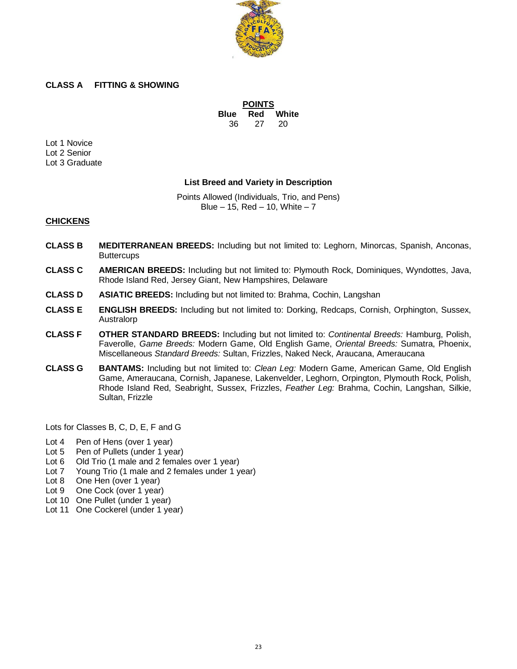

#### **CLASS A FITTING & SHOWING**

**POINTS Blue Red White** 36 27 20

Lot 1 Novice Lot 2 Senior Lot 3 Graduate

#### **List Breed and Variety in Description**

Points Allowed (Individuals, Trio, and Pens) Blue  $-15$ , Red  $-10$ , White  $-7$ 

#### **CHICKENS**

- **CLASS B MEDITERRANEAN BREEDS:** Including but not limited to: Leghorn, Minorcas, Spanish, Anconas, **Buttercups**
- **CLASS C AMERICAN BREEDS:** Including but not limited to: Plymouth Rock, Dominiques, Wyndottes, Java, Rhode Island Red, Jersey Giant, New Hampshires, Delaware
- **CLASS D ASIATIC BREEDS:** Including but not limited to: Brahma, Cochin, Langshan
- **CLASS E ENGLISH BREEDS:** Including but not limited to: Dorking, Redcaps, Cornish, Orphington, Sussex, Australorp
- **CLASS F OTHER STANDARD BREEDS:** Including but not limited to: *Continental Breeds:* Hamburg, Polish, Faverolle, *Game Breeds:* Modern Game, Old English Game, *Oriental Breeds:* Sumatra, Phoenix, Miscellaneous *Standard Breeds:* Sultan, Frizzles, Naked Neck, Araucana, Ameraucana
- **CLASS G BANTAMS:** Including but not limited to: *Clean Leg:* Modern Game, American Game, Old English Game, Ameraucana, Cornish, Japanese, Lakenvelder, Leghorn, Orpington, Plymouth Rock, Polish, Rhode Island Red, Seabright, Sussex, Frizzles, *Feather Leg:* Brahma, Cochin, Langshan, Silkie, Sultan, Frizzle

Lots for Classes B, C, D, E, F and G

- Lot 4 Pen of Hens (over 1 year)
- Lot 5 Pen of Pullets (under 1 year)
- Lot 6 Old Trio (1 male and 2 females over 1 year)
- Lot 7 Young Trio (1 male and 2 females under 1 year)
- Lot 8 One Hen (over 1 year)
- Lot 9 One Cock (over 1 year)
- Lot 10 One Pullet (under 1 year)
- Lot 11 One Cockerel (under 1 year)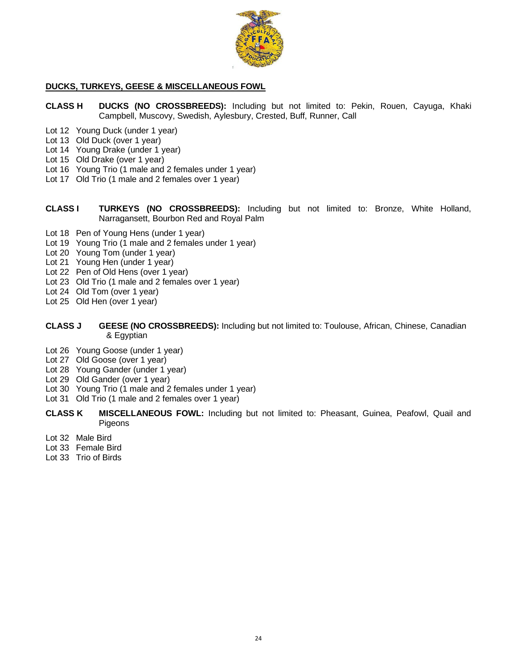

#### **DUCKS, TURKEYS, GEESE & MISCELLANEOUS FOWL**

- **CLASS H DUCKS (NO CROSSBREEDS):** Including but not limited to: Pekin, Rouen, Cayuga, Khaki Campbell, Muscovy, Swedish, Aylesbury, Crested, Buff, Runner, Call
- Lot 12 Young Duck (under 1 year)
- Lot 13 Old Duck (over 1 year)
- Lot 14 Young Drake (under 1 year)
- Lot 15 Old Drake (over 1 year)
- Lot 16 Young Trio (1 male and 2 females under 1 year)
- Lot 17 Old Trio (1 male and 2 females over 1 year)
- **CLASS I TURKEYS (NO CROSSBREEDS):** Including but not limited to: Bronze, White Holland, Narragansett, Bourbon Red and Royal Palm
- Lot 18 Pen of Young Hens (under 1 year)
- Lot 19 Young Trio (1 male and 2 females under 1 year)
- Lot 20 Young Tom (under 1 year)
- Lot 21 Young Hen (under 1 year)
- Lot 22 Pen of Old Hens (over 1 year)
- Lot 23 Old Trio (1 male and 2 females over 1 year)
- Lot 24 Old Tom (over 1 year)
- Lot 25 Old Hen (over 1 year)
- **CLASS J GEESE (NO CROSSBREEDS):** Including but not limited to: Toulouse, African, Chinese, Canadian & Egyptian
- Lot 26 Young Goose (under 1 year)
- Lot 27 Old Goose (over 1 year)
- Lot 28 Young Gander (under 1 year)
- Lot 29 Old Gander (over 1 year)
- Lot 30 Young Trio (1 male and 2 females under 1 year)
- Lot 31 Old Trio (1 male and 2 females over 1 year)
- **CLASS K MISCELLANEOUS FOWL:** Including but not limited to: Pheasant, Guinea, Peafowl, Quail and Pigeons
- Lot 32 Male Bird
- Lot 33 Female Bird
- Lot 33 Trio of Birds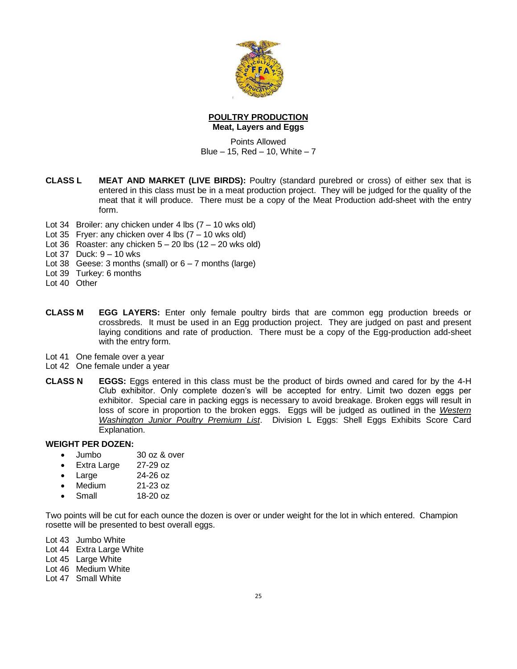

#### **POULTRY PRODUCTION Meat, Layers and Eggs**

Points Allowed Blue  $-15$ , Red  $-10$ , White  $-7$ 

- **CLASS L MEAT AND MARKET (LIVE BIRDS):** Poultry (standard purebred or cross) of either sex that is entered in this class must be in a meat production project. They will be judged for the quality of the meat that it will produce. There must be a copy of the Meat Production add-sheet with the entry form.
- Lot 34 Broiler: any chicken under 4 lbs (7 10 wks old)
- Lot 35 Fryer: any chicken over 4 lbs  $(7 10$  wks old)
- Lot 36 Roaster: any chicken  $5 20$  lbs  $(12 20$  wks old)
- Lot 37 Duck: 9 10 wks
- Lot 38 Geese: 3 months (small) or  $6 7$  months (large)
- Lot 39 Turkey: 6 months
- Lot 40 Other
- **CLASS M EGG LAYERS:** Enter only female poultry birds that are common egg production breeds or crossbreds. It must be used in an Egg production project. They are judged on past and present laying conditions and rate of production. There must be a copy of the Egg-production add-sheet with the entry form.
- Lot 41 One female over a year
- Lot 42 One female under a year
- **CLASS N EGGS:** Eggs entered in this class must be the product of birds owned and cared for by the 4-H Club exhibitor. Only complete dozen's will be accepted for entry. Limit two dozen eggs per exhibitor. Special care in packing eggs is necessary to avoid breakage. Broken eggs will result in loss of score in proportion to the broken eggs. Eggs will be judged as outlined in the *Western Washington Junior Poultry Premium List*. Division L Eggs: Shell Eggs Exhibits Score Card Explanation.

#### **WEIGHT PER DOZEN:**

- Jumbo 30 oz & over
- Extra Large 27-29 oz
- Large 24-26 oz
- Medium 21-23 oz
- Small 18-20 oz

Two points will be cut for each ounce the dozen is over or under weight for the lot in which entered. Champion rosette will be presented to best overall eggs.

Lot 43 Jumbo White

Lot 44 Extra Large White

Lot 45 Large White

Lot 46 Medium White

Lot 47 Small White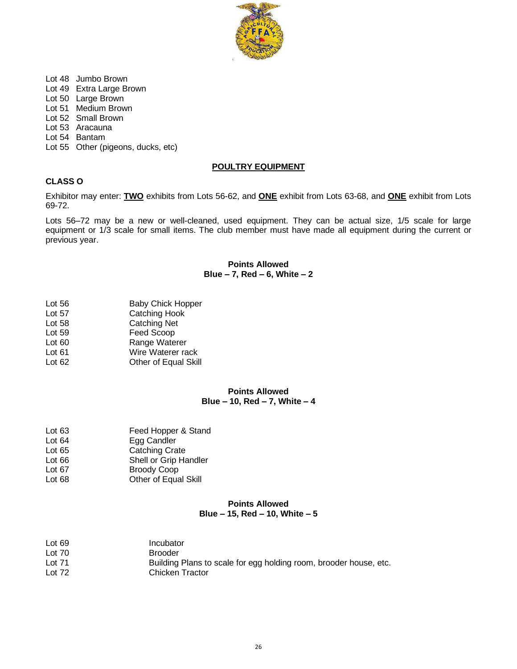

- Lot 48 Jumbo Brown
- Lot 49 Extra Large Brown
- Lot 50 Large Brown
- Lot 51 Medium Brown
- Lot 52 Small Brown
- Lot 53 Aracauna
- Lot 54 Bantam
- Lot 55 Other (pigeons, ducks, etc)

#### **POULTRY EQUIPMENT**

#### **CLASS O**

Exhibitor may enter: **TWO** exhibits from Lots 56-62, and **ONE** exhibit from Lots 63-68, and **ONE** exhibit from Lots 69-72.

Lots 56–72 may be a new or well-cleaned, used equipment. They can be actual size, 1/5 scale for large equipment or 1/3 scale for small items. The club member must have made all equipment during the current or previous year.

#### **Points Allowed Blue – 7, Red – 6, White – 2**

- Lot 56 Baby Chick Hopper
- Lot 57 Catching Hook
- Lot 58 Catching Net
- Lot 59 Feed Scoop
- Lot 60 Range Waterer
- Lot 61 **Wire Waterer rack**<br>
Lot 62 **Democration** Other of Equal Skil
- Other of Equal Skill

#### **Points Allowed Blue – 10, Red – 7, White – 4**

- Lot 63 **Feed Hopper & Stand** Lot 64 Egg Candler Lot 65 Catching Crate
- Lot 66 Shell or Grip Handler<br>
Lot 67 Broody Coop Broody Coop
- Lot 68 **Other of Equal Skill**

#### **Points Allowed Blue – 15, Red – 10, White – 5**

| Lot $69$ | Incubator                                                         |
|----------|-------------------------------------------------------------------|
| Lot $70$ | <b>Brooder</b>                                                    |
| Lot $71$ | Building Plans to scale for egg holding room, brooder house, etc. |
| Lot $72$ | Chicken Tractor                                                   |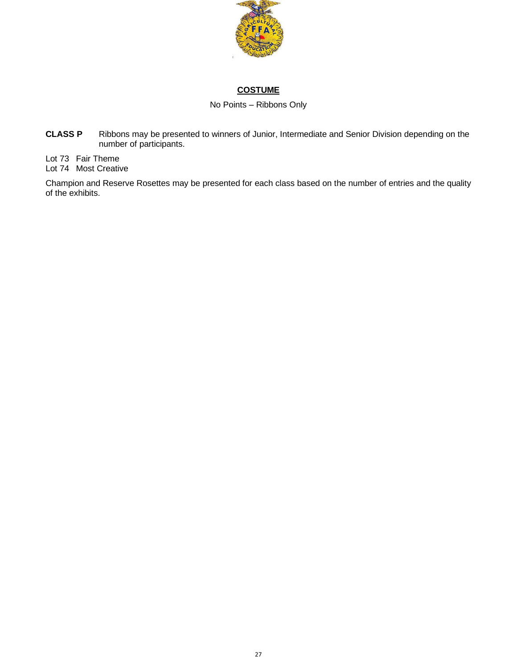

## **COSTUME**

No Points – Ribbons Only

**CLASS P** Ribbons may be presented to winners of Junior, Intermediate and Senior Division depending on the number of participants.

Lot 73 Fair Theme Lot 74 Most Creative

Champion and Reserve Rosettes may be presented for each class based on the number of entries and the quality of the exhibits.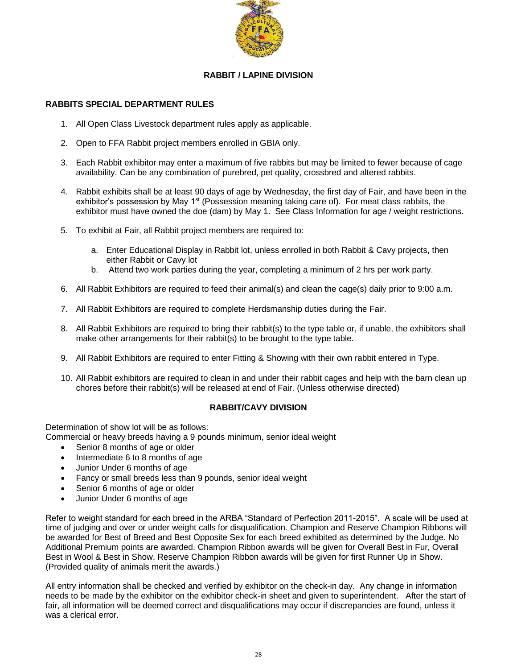

## **RABBIT / LAPINE DIVISION**

#### **RABBITS SPECIAL DEPARTMENT RULES**

- 1. All Open Class Livestock department rules apply as applicable.
- 2. Open to FFA Rabbit project members enrolled in GBIA only.
- 3. Each Rabbit exhibitor may enter a maximum of five rabbits but may be limited to fewer because of cage availability. Can be any combination of purebred, pet quality, crossbred and altered rabbits.
- 4. Rabbit exhibits shall be at least 90 days of age by Wednesday, the first day of Fair, and have been in the exhibitor's possession by May  $1<sup>st</sup>$  (Possession meaning taking care of). For meat class rabbits, the exhibitor must have owned the doe (dam) by May 1. See Class Information for age / weight restrictions.
- 5. To exhibit at Fair, all Rabbit project members are required to:
	- a. Enter Educational Display in Rabbit lot, unless enrolled in both Rabbit & Cavy projects, then either Rabbit or Cavy lot
	- b. Attend two work parties during the year, completing a minimum of 2 hrs per work party.
- 6. All Rabbit Exhibitors are required to feed their animal(s) and clean the cage(s) daily prior to 9:00 a.m.
- 7. All Rabbit Exhibitors are required to complete Herdsmanship duties during the Fair.
- 8. All Rabbit Exhibitors are required to bring their rabbit(s) to the type table or, if unable, the exhibitors shall make other arrangements for their rabbit(s) to be brought to the type table.
- 9. All Rabbit Exhibitors are required to enter Fitting & Showing with their own rabbit entered in Type.
- 10. All Rabbit exhibitors are required to clean in and under their rabbit cages and help with the barn clean up chores before their rabbit(s) will be released at end of Fair. (Unless otherwise directed)

## **RABBIT/CAVY DIVISION**

Determination of show lot will be as follows:

Commercial or heavy breeds having a 9 pounds minimum, senior ideal weight

- Senior 8 months of age or older
- Intermediate 6 to 8 months of age
- Junior Under 6 months of age
- Fancy or small breeds less than 9 pounds, senior ideal weight
- Senior 6 months of age or older
- Junior Under 6 months of age

Refer to weight standard for each breed in the ARBA "Standard of Perfection 2011-2015". A scale will be used at time of judging and over or under weight calls for disqualification. Champion and Reserve Champion Ribbons will be awarded for Best of Breed and Best Opposite Sex for each breed exhibited as determined by the Judge. No Additional Premium points are awarded. Champion Ribbon awards will be given for Overall Best in Fur, Overall Best in Wool & Best in Show. Reserve Champion Ribbon awards will be given for first Runner Up in Show. (Provided quality of animals merit the awards.)

All entry information shall be checked and verified by exhibitor on the check-in day. Any change in information needs to be made by the exhibitor on the exhibitor check-in sheet and given to superintendent. After the start of fair, all information will be deemed correct and disqualifications may occur if discrepancies are found, unless it was a clerical error.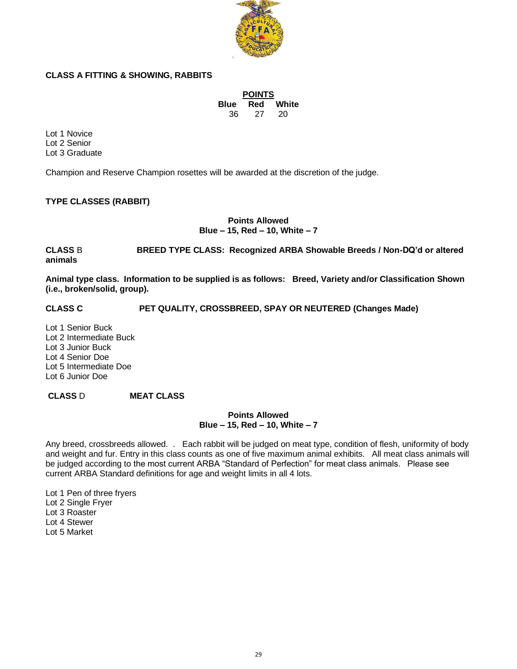

## **CLASS A FITTING & SHOWING, RABBITS**

| <b>POINTS</b> |     |       |  |  |
|---------------|-----|-------|--|--|
| <b>Blue</b>   | Red | White |  |  |
| 36            | 27  | 20    |  |  |

Lot 1 Novice Lot 2 Senior Lot 3 Graduate

Champion and Reserve Champion rosettes will be awarded at the discretion of the judge.

## **TYPE CLASSES (RABBIT)**

**Points Allowed Blue – 15, Red – 10, White – 7**

**CLASS** B **BREED TYPE CLASS: Recognized ARBA Showable Breeds / Non-DQ'd or altered animals** 

**Animal type class. Information to be supplied is as follows: Breed, Variety and/or Classification Shown (i.e., broken/solid, group).**

**CLASS C PET QUALITY, CROSSBREED, SPAY OR NEUTERED (Changes Made)**

Lot 1 Senior Buck Lot 2 Intermediate Buck Lot 3 Junior Buck Lot 4 Senior Doe Lot 5 Intermediate Doe Lot 6 Junior Doe

## **CLASS** D **MEAT CLASS**

#### **Points Allowed Blue – 15, Red – 10, White – 7**

Any breed, crossbreeds allowed. . Each rabbit will be judged on meat type, condition of flesh, uniformity of body and weight and fur. Entry in this class counts as one of five maximum animal exhibits. All meat class animals will be judged according to the most current ARBA "Standard of Perfection" for meat class animals. Please see current ARBA Standard definitions for age and weight limits in all 4 lots.

Lot 1 Pen of three fryers Lot 2 Single Fryer Lot 3 Roaster Lot 4 Stewer

Lot 5 Market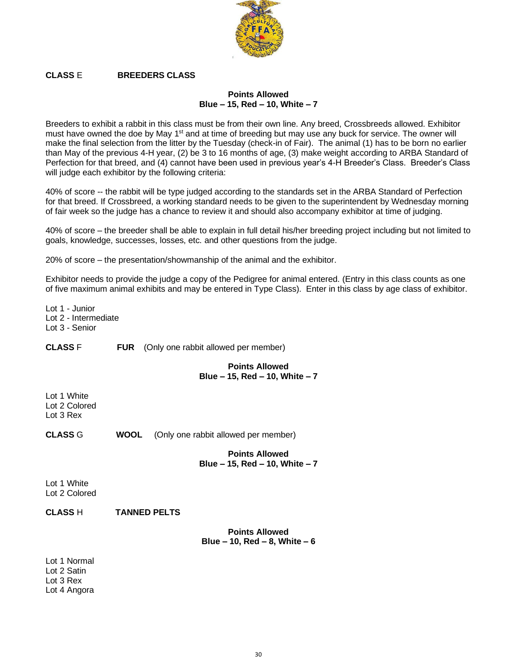

# **CLASS** E **BREEDERS CLASS**

#### **Points Allowed Blue – 15, Red – 10, White – 7**

Breeders to exhibit a rabbit in this class must be from their own line. Any breed, Crossbreeds allowed. Exhibitor must have owned the doe by May 1<sup>st</sup> and at time of breeding but may use any buck for service. The owner will make the final selection from the litter by the Tuesday (check-in of Fair). The animal (1) has to be born no earlier than May of the previous 4-H year, (2) be 3 to 16 months of age, (3) make weight according to ARBA Standard of Perfection for that breed, and (4) cannot have been used in previous year's 4-H Breeder's Class. Breeder's Class will judge each exhibitor by the following criteria:

40% of score -- the rabbit will be type judged according to the standards set in the ARBA Standard of Perfection for that breed. If Crossbreed, a working standard needs to be given to the superintendent by Wednesday morning of fair week so the judge has a chance to review it and should also accompany exhibitor at time of judging.

40% of score – the breeder shall be able to explain in full detail his/her breeding project including but not limited to goals, knowledge, successes, losses, etc. and other questions from the judge.

20% of score – the presentation/showmanship of the animal and the exhibitor.

Exhibitor needs to provide the judge a copy of the Pedigree for animal entered. (Entry in this class counts as one of five maximum animal exhibits and may be entered in Type Class). Enter in this class by age class of exhibitor.

Lot 1 - Junior Lot 2 - Intermediate Lot 3 - Senior

**CLASS** F **FUR** (Only one rabbit allowed per member)

#### **Points Allowed Blue – 15, Red – 10, White – 7**

Lot 1 White Lot 2 Colored Lot 3 Rex

**CLASS** G **WOOL** (Only one rabbit allowed per member)

**Points Allowed Blue – 15, Red – 10, White – 7**

Lot 1 White Lot 2 Colored

**CLASS** H **TANNED PELTS**

**Points Allowed Blue – 10, Red – 8, White – 6**

Lot 1 Normal Lot 2 Satin Lot 3 Rex Lot 4 Angora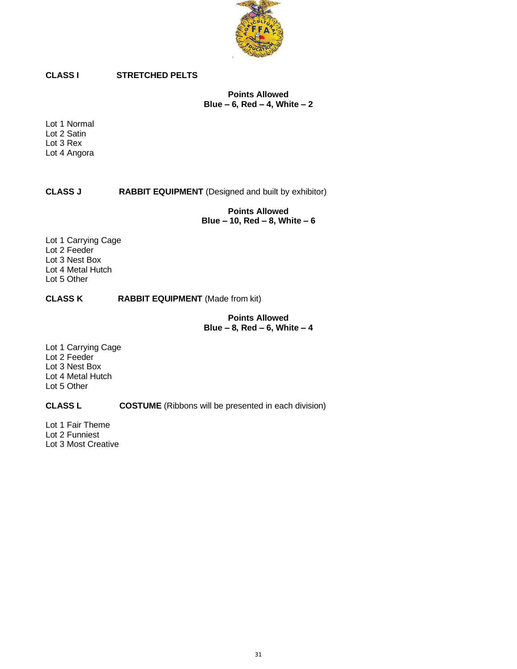

# **CLASS I STRETCHED PELTS**

**Points Allowed Blue – 6, Red – 4, White – 2**

Lot 1 Normal Lot 2 Satin Lot 3 Rex Lot 4 Angora

## **CLASS J RABBIT EQUIPMENT** (Designed and built by exhibitor)

**Points Allowed Blue – 10, Red – 8, White – 6**

Lot 1 Carrying Cage Lot 2 Feeder Lot 3 Nest Box Lot 4 Metal Hutch Lot 5 Other

#### **CLASS K RABBIT EQUIPMENT** (Made from kit)

**Points Allowed Blue – 8, Red – 6, White – 4**

Lot 1 Carrying Cage Lot 2 Feeder Lot 3 Nest Box Lot 4 Metal Hutch Lot 5 Other

## **CLASS L COSTUME** (Ribbons will be presented in each division)

Lot 1 Fair Theme Lot 2 Funniest Lot 3 Most Creative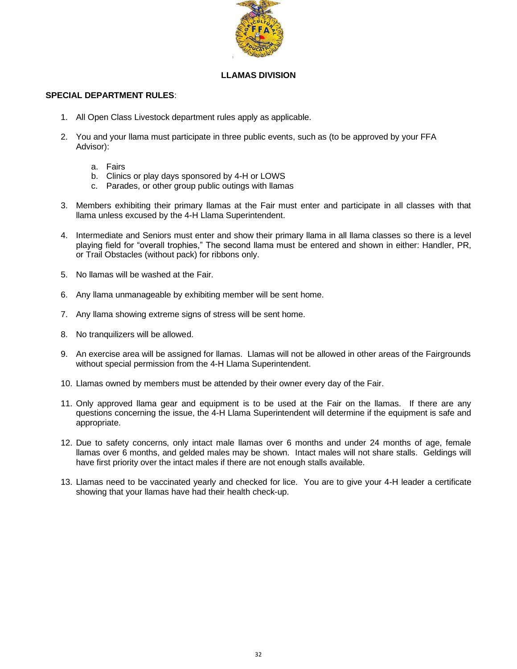

#### **LLAMAS DIVISION**

## **SPECIAL DEPARTMENT RULES**:

- 1. All Open Class Livestock department rules apply as applicable.
- 2. You and your llama must participate in three public events, such as (to be approved by your FFA Advisor):
	- a. Fairs
	- b. Clinics or play days sponsored by 4-H or LOWS
	- c. Parades, or other group public outings with llamas
- 3. Members exhibiting their primary llamas at the Fair must enter and participate in all classes with that llama unless excused by the 4-H Llama Superintendent.
- 4. Intermediate and Seniors must enter and show their primary llama in all llama classes so there is a level playing field for "overall trophies," The second llama must be entered and shown in either: Handler, PR, or Trail Obstacles (without pack) for ribbons only.
- 5. No llamas will be washed at the Fair.
- 6. Any llama unmanageable by exhibiting member will be sent home.
- 7. Any llama showing extreme signs of stress will be sent home.
- 8. No tranquilizers will be allowed.
- 9. An exercise area will be assigned for llamas. Llamas will not be allowed in other areas of the Fairgrounds without special permission from the 4-H Llama Superintendent.
- 10. Llamas owned by members must be attended by their owner every day of the Fair.
- 11. Only approved llama gear and equipment is to be used at the Fair on the llamas. If there are any questions concerning the issue, the 4-H Llama Superintendent will determine if the equipment is safe and appropriate.
- 12. Due to safety concerns, only intact male llamas over 6 months and under 24 months of age, female llamas over 6 months, and gelded males may be shown. Intact males will not share stalls. Geldings will have first priority over the intact males if there are not enough stalls available.
- 13. Llamas need to be vaccinated yearly and checked for lice. You are to give your 4-H leader a certificate showing that your llamas have had their health check-up.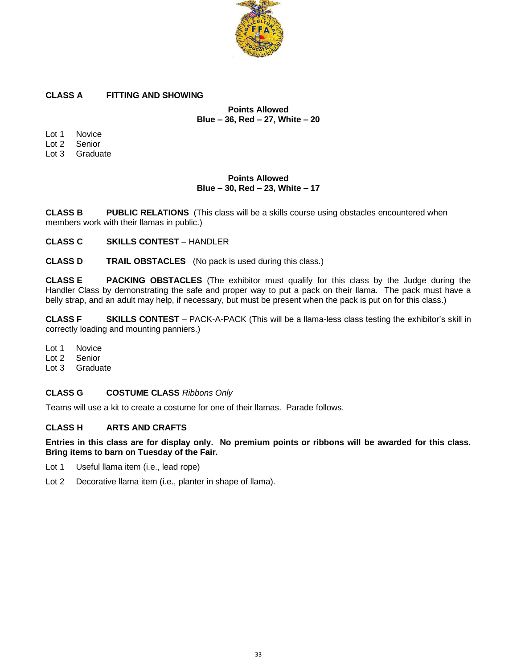

## **CLASS A FITTING AND SHOWING**

**Points Allowed Blue – 36, Red – 27, White – 20**

Lot 1 Novice Lot 2 Senior

Lot 3 Graduate

## **Points Allowed Blue – 30, Red – 23, White – 17**

**CLASS B PUBLIC RELATIONS** (This class will be a skills course using obstacles encountered when members work with their llamas in public.)

**CLASS C SKILLS CONTEST** – HANDLER

**CLASS D TRAIL OBSTACLES** (No pack is used during this class.)

**CLASS E PACKING OBSTACLES** (The exhibitor must qualify for this class by the Judge during the Handler Class by demonstrating the safe and proper way to put a pack on their llama. The pack must have a belly strap, and an adult may help, if necessary, but must be present when the pack is put on for this class.)

**CLASS F SKILLS CONTEST** – PACK-A-PACK (This will be a llama-less class testing the exhibitor's skill in correctly loading and mounting panniers.)

Lot 1 Novice

Lot 2 Senior

Lot 3 Graduate

## **CLASS G COSTUME CLASS** *Ribbons Only*

Teams will use a kit to create a costume for one of their llamas. Parade follows.

## **CLASS H ARTS AND CRAFTS**

**Entries in this class are for display only. No premium points or ribbons will be awarded for this class. Bring items to barn on Tuesday of the Fair.**

- Lot 1 Useful llama item (i.e., lead rope)
- Lot 2 Decorative llama item (i.e., planter in shape of llama).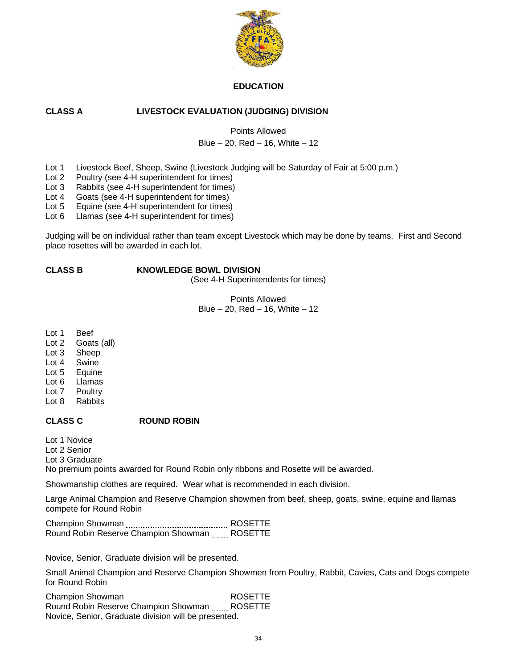

#### **EDUCATION**

## **CLASS A LIVESTOCK EVALUATION (JUDGING) DIVISION**

Points Allowed

## Blue  $-20$ , Red  $-16$ , White  $-12$

- Lot 1 Livestock Beef, Sheep, Swine (Livestock Judging will be Saturday of Fair at 5:00 p.m.)
- Lot 2 Poultry (see 4-H superintendent for times)
- Lot 3 Rabbits (see 4-H superintendent for times)
- Lot 4 Goats (see 4-H superintendent for times)
- Lot 5 Equine (see 4-H superintendent for times)
- Lot 6 Llamas (see 4-H superintendent for times)

Judging will be on individual rather than team except Livestock which may be done by teams. First and Second place rosettes will be awarded in each lot.

#### **CLASS B KNOWLEDGE BOWL DIVISION**

(See 4-H Superintendents for times)

Points Allowed Blue – 20, Red – 16, White – 12

Lot 1 Beef

- Lot 2 Goats (all)
- Lot 3 Sheep
- Lot 4 Swine
- Lot 5 Equine
- Lot 6 Llamas
- Lot 7 Poultry
- Lot 8 Rabbits

## **CLASS C ROUND ROBIN**

Lot 1 Novice

Lot 2 Senior

Lot 3 Graduate

No premium points awarded for Round Robin only ribbons and Rosette will be awarded.

Showmanship clothes are required. Wear what is recommended in each division.

Large Animal Champion and Reserve Champion showmen from beef, sheep, goats, swine, equine and llamas compete for Round Robin

Champion Showman ROSETTE Round Robin Reserve Champion Showman ...... ROSETTE

Novice, Senior, Graduate division will be presented.

Small Animal Champion and Reserve Champion Showmen from Poultry, Rabbit, Cavies, Cats and Dogs compete for Round Robin

Champion Showman ROSETTE Round Robin Reserve Champion Showman ...... ROSETTE Novice, Senior, Graduate division will be presented.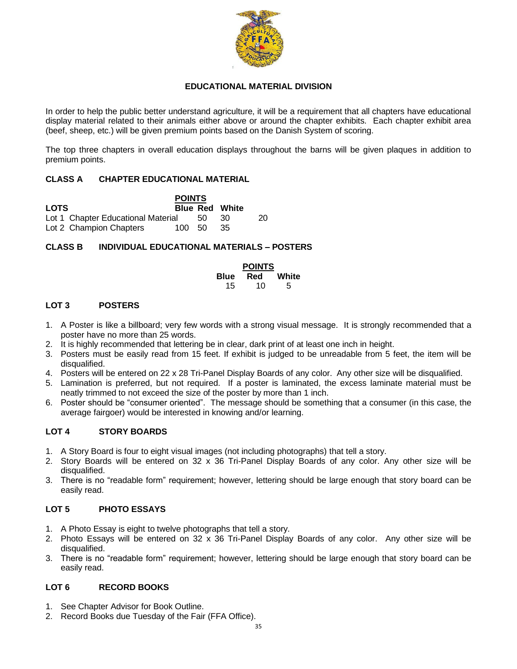

#### **EDUCATIONAL MATERIAL DIVISION**

In order to help the public better understand agriculture, it will be a requirement that all chapters have educational display material related to their animals either above or around the chapter exhibits. Each chapter exhibit area (beef, sheep, etc.) will be given premium points based on the Danish System of scoring.

The top three chapters in overall education displays throughout the barns will be given plaques in addition to premium points.

## **CLASS A CHAPTER EDUCATIONAL MATERIAL**

**POINTS LOTS Blue Red White** Lot 1 Chapter Educational Material 50 30 20 Lot 2 Champion Chapters 100 50 35

#### **CLASS B INDIVIDUAL EDUCATIONAL MATERIALS – POSTERS**

**POINTS Blue Red White** 15 10 5

#### **LOT 3 POSTERS**

- 1. A Poster is like a billboard; very few words with a strong visual message. It is strongly recommended that a poster have no more than 25 words.
- 2. It is highly recommended that lettering be in clear, dark print of at least one inch in height.
- 3. Posters must be easily read from 15 feet. If exhibit is judged to be unreadable from 5 feet, the item will be disqualified.
- 4. Posters will be entered on 22 x 28 Tri-Panel Display Boards of any color. Any other size will be disqualified.
- 5. Lamination is preferred, but not required. If a poster is laminated, the excess laminate material must be neatly trimmed to not exceed the size of the poster by more than 1 inch.
- 6. Poster should be "consumer oriented". The message should be something that a consumer (in this case, the average fairgoer) would be interested in knowing and/or learning.

#### **LOT 4 STORY BOARDS**

- 1. A Story Board is four to eight visual images (not including photographs) that tell a story.
- 2. Story Boards will be entered on 32 x 36 Tri-Panel Display Boards of any color. Any other size will be disqualified.
- 3. There is no "readable form" requirement; however, lettering should be large enough that story board can be easily read.

#### **LOT 5 PHOTO ESSAYS**

- 1. A Photo Essay is eight to twelve photographs that tell a story.
- 2. Photo Essays will be entered on 32 x 36 Tri-Panel Display Boards of any color. Any other size will be disqualified.
- 3. There is no "readable form" requirement; however, lettering should be large enough that story board can be easily read.

#### **LOT 6 RECORD BOOKS**

- 1. See Chapter Advisor for Book Outline.
- 2. Record Books due Tuesday of the Fair (FFA Office).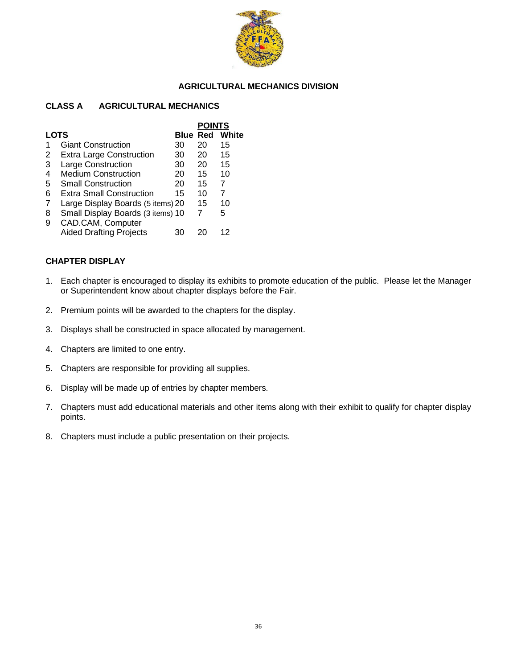

#### **AGRICULTURAL MECHANICS DIVISION**

#### **CLASS A AGRICULTURAL MECHANICS**

|             |                                   |                 | <b>POINTS</b> |       |
|-------------|-----------------------------------|-----------------|---------------|-------|
| <b>LOTS</b> |                                   | <b>Blue Red</b> |               | White |
|             | <b>Giant Construction</b>         | 30              | 20            | 15    |
| 2           | <b>Extra Large Construction</b>   | 30              | 20            | 15    |
| 3           | Large Construction                | 30              | 20            | 15    |
| 4           | <b>Medium Construction</b>        | 20              | 15            | 10    |
| 5           | <b>Small Construction</b>         | 20              | 15            | 7     |
| 6           | Extra Small Construction          | 15              | 10            | 7     |
| 7           | Large Display Boards (5 items) 20 |                 | 15            | 10    |
| 8           | Small Display Boards (3 items) 10 |                 | 7             | 5     |
| 9           | CAD.CAM, Computer                 |                 |               |       |
|             | <b>Aided Drafting Projects</b>    | 30              |               | 12    |
|             |                                   |                 |               |       |

#### **CHAPTER DISPLAY**

- 1. Each chapter is encouraged to display its exhibits to promote education of the public. Please let the Manager or Superintendent know about chapter displays before the Fair.
- 2. Premium points will be awarded to the chapters for the display.
- 3. Displays shall be constructed in space allocated by management.
- 4. Chapters are limited to one entry.
- 5. Chapters are responsible for providing all supplies.
- 6. Display will be made up of entries by chapter members.
- 7. Chapters must add educational materials and other items along with their exhibit to qualify for chapter display points.
- 8. Chapters must include a public presentation on their projects.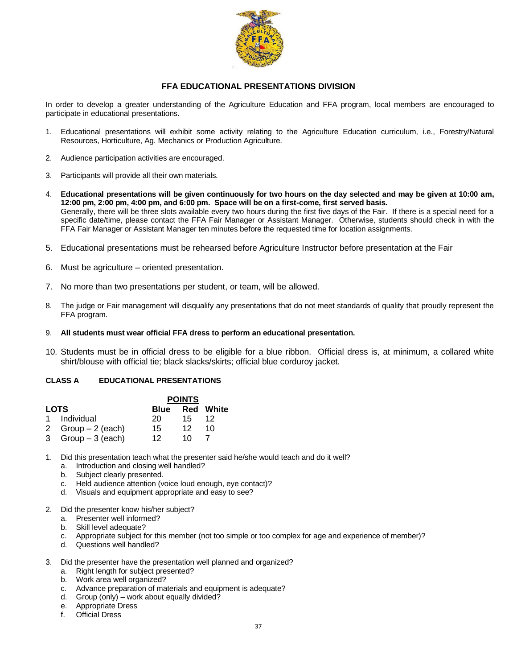

#### **FFA EDUCATIONAL PRESENTATIONS DIVISION**

In order to develop a greater understanding of the Agriculture Education and FFA program, local members are encouraged to participate in educational presentations.

- 1. Educational presentations will exhibit some activity relating to the Agriculture Education curriculum, i.e., Forestry/Natural Resources, Horticulture, Ag. Mechanics or Production Agriculture.
- 2. Audience participation activities are encouraged.
- 3. Participants will provide all their own materials.
- 4. **Educational presentations will be given continuously for two hours on the day selected and may be given at 10:00 am, 12:00 pm, 2:00 pm, 4:00 pm, and 6:00 pm. Space will be on a first-come, first served basis.** Generally, there will be three slots available every two hours during the first five days of the Fair. If there is a special need for a specific date/time, please contact the FFA Fair Manager or Assistant Manager. Otherwise, students should check in with the FFA Fair Manager or Assistant Manager ten minutes before the requested time for location assignments.
- 5. Educational presentations must be rehearsed before Agriculture Instructor before presentation at the Fair
- 6. Must be agriculture oriented presentation.
- 7. No more than two presentations per student, or team, will be allowed.
- 8. The judge or Fair management will disqualify any presentations that do not meet standards of quality that proudly represent the FFA program.
- 9. **All students must wear official FFA dress to perform an educational presentation.**
- 10. Students must be in official dress to be eligible for a blue ribbon. Official dress is, at minimum, a collared white shirt/blouse with official tie; black slacks/skirts; official blue corduroy jacket.

#### **CLASS A EDUCATIONAL PRESENTATIONS**

|             |                    |                 | <b>POINTS</b> |                  |
|-------------|--------------------|-----------------|---------------|------------------|
| <b>LOTS</b> |                    | Blue            |               | <b>Red White</b> |
|             | 1 Individual       | 20.             | 15.           | 12               |
|             | 2 $Group-2$ (each) | 15              | 12            | 10               |
|             | 3 $Group-3$ (each) | 12 <sub>1</sub> | 10            |                  |

1. Did this presentation teach what the presenter said he/she would teach and do it well?

- a. Introduction and closing well handled?
- b. Subject clearly presented.
- c. Held audience attention (voice loud enough, eye contact)?
- d. Visuals and equipment appropriate and easy to see?
- 2. Did the presenter know his/her subject?
	- a. Presenter well informed?
	- b. Skill level adequate?
	- c. Appropriate subject for this member (not too simple or too complex for age and experience of member)?
	- d. Questions well handled?
- 3. Did the presenter have the presentation well planned and organized?
	- a. Right length for subject presented?
	- b. Work area well organized?
	- c. Advance preparation of materials and equipment is adequate?
	- d. Group (only) work about equally divided?
	- e. Appropriate Dress
	- f. Official Dress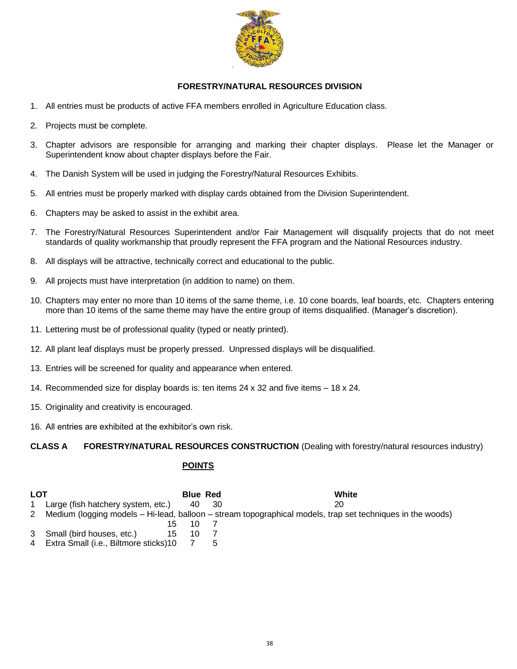

## **FORESTRY/NATURAL RESOURCES DIVISION**

- 1. All entries must be products of active FFA members enrolled in Agriculture Education class.
- 2. Projects must be complete.
- 3. Chapter advisors are responsible for arranging and marking their chapter displays. Please let the Manager or Superintendent know about chapter displays before the Fair.
- 4. The Danish System will be used in judging the Forestry/Natural Resources Exhibits.
- 5. All entries must be properly marked with display cards obtained from the Division Superintendent.
- 6. Chapters may be asked to assist in the exhibit area.
- 7. The Forestry/Natural Resources Superintendent and/or Fair Management will disqualify projects that do not meet standards of quality workmanship that proudly represent the FFA program and the National Resources industry.
- 8. All displays will be attractive, technically correct and educational to the public.
- 9. All projects must have interpretation (in addition to name) on them.
- 10. Chapters may enter no more than 10 items of the same theme, i.e. 10 cone boards, leaf boards, etc. Chapters entering more than 10 items of the same theme may have the entire group of items disqualified. (Manager's discretion).
- 11. Lettering must be of professional quality (typed or neatly printed).
- 12. All plant leaf displays must be properly pressed. Unpressed displays will be disqualified.
- 13. Entries will be screened for quality and appearance when entered.
- 14. Recommended size for display boards is: ten items 24 x 32 and five items 18 x 24.
- 15. Originality and creativity is encouraged.
- 16. All entries are exhibited at the exhibitor's own risk.

**CLASS A FORESTRY/NATURAL RESOURCES CONSTRUCTION** (Dealing with forestry/natural resources industry)

## **POINTS**

| LOT |                                    | <b>Blue Red</b> |      | White                                                                                                      |
|-----|------------------------------------|-----------------|------|------------------------------------------------------------------------------------------------------------|
|     | Large (fish hatchery system, etc.) | 40.             | - 30 | 20                                                                                                         |
| 2   |                                    |                 |      | Medium (logging models – Hi-lead, balloon – stream topographical models, trap set techniques in the woods) |
|     |                                    |                 |      |                                                                                                            |
|     | 3 Small (bird houses, etc.)<br>15  | 10              |      |                                                                                                            |

4 Extra Small (i.e., Biltmore sticks) 10 7 5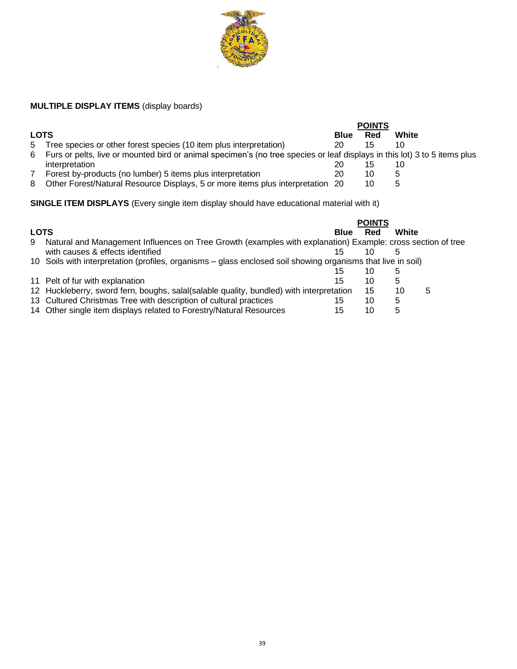

# **MULTIPLE DISPLAY ITEMS** (display boards)

|             |                                                                                                                           |             | <b>POINTS</b> |       |
|-------------|---------------------------------------------------------------------------------------------------------------------------|-------------|---------------|-------|
| <b>LOTS</b> |                                                                                                                           | <b>Blue</b> | Red           | White |
| 5           | Tree species or other forest species (10 item plus interpretation)                                                        | 20          | 15            | 10    |
| 6           | Furs or pelts, live or mounted bird or animal specimen's (no tree species or leaf displays in this lot) 3 to 5 items plus |             |               |       |
|             | interpretation                                                                                                            | 20          |               | 10    |
|             | Forest by-products (no lumber) 5 items plus interpretation                                                                | 20          | 10            |       |
| 8           | Other Forest/Natural Resource Displays, 5 or more items plus interpretation 20                                            |             |               |       |

**SINGLE ITEM DISPLAYS** (Every single item display should have educational material with it)

|             |                                                                                                              |             | <b>POINTS</b> |       |   |
|-------------|--------------------------------------------------------------------------------------------------------------|-------------|---------------|-------|---|
| <b>LOTS</b> |                                                                                                              | <b>Blue</b> | Red           | White |   |
| 9           | Natural and Management Influences on Tree Growth (examples with explanation) Example: cross section of tree  |             |               |       |   |
|             | with causes & effects identified                                                                             | 15          | 10            |       |   |
|             | 10 Soils with interpretation (profiles, organisms – glass enclosed soil showing organisms that live in soil) |             |               |       |   |
|             |                                                                                                              | 15          | 10            | 5     |   |
|             | 11 Pelt of fur with explanation                                                                              | 15          | 10            | 5     |   |
|             | 12 Huckleberry, sword fern, boughs, salal(salable quality, bundled) with interpretation                      |             | 15            | 10    | 5 |
|             | 13 Cultured Christmas Tree with description of cultural practices                                            | 15          | 10            | 5     |   |
|             | 14 Other single item displays related to Forestry/Natural Resources                                          | 15          | 10            | 5     |   |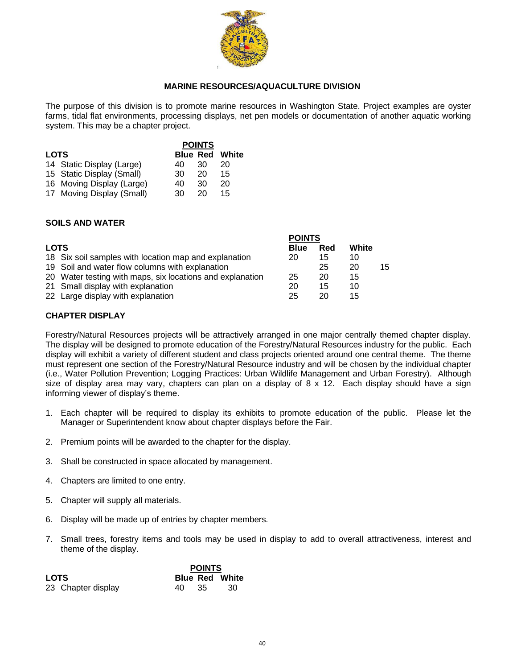

#### **MARINE RESOURCES/AQUACULTURE DIVISION**

The purpose of this division is to promote marine resources in Washington State. Project examples are oyster farms, tidal flat environments, processing displays, net pen models or documentation of another aquatic working system. This may be a chapter project.

|             |                           |                 | <b>POINTS</b> |       |
|-------------|---------------------------|-----------------|---------------|-------|
| <b>LOTS</b> |                           | <b>Blue Red</b> |               | White |
|             | 14 Static Display (Large) | 40              | 30            | 20    |
|             | 15 Static Display (Small) | 30              | 20            | 15    |
|             | 16 Moving Display (Large) | 40              | 30            | 20    |
|             | 17 Moving Display (Small) | 30              | 20            | 15    |

## **SOILS AND WATER**

|             |                                                           | <b>POINTS</b> |     |       |    |
|-------------|-----------------------------------------------------------|---------------|-----|-------|----|
| <b>LOTS</b> |                                                           | <b>Blue</b>   | Red | White |    |
|             | 18 Six soil samples with location map and explanation     | 20            | 15  | 10    |    |
|             | 19 Soil and water flow columns with explanation           |               | 25  | 20    | 15 |
|             | 20 Water testing with maps, six locations and explanation | 25            | 20  | 15    |    |
|             | 21 Small display with explanation                         | 20            | 15  | 10    |    |
|             | 22 Large display with explanation                         | 25            | 20  | 15    |    |

#### **CHAPTER DISPLAY**

Forestry/Natural Resources projects will be attractively arranged in one major centrally themed chapter display. The display will be designed to promote education of the Forestry/Natural Resources industry for the public. Each display will exhibit a variety of different student and class projects oriented around one central theme. The theme must represent one section of the Forestry/Natural Resource industry and will be chosen by the individual chapter (i.e., Water Pollution Prevention; Logging Practices: Urban Wildlife Management and Urban Forestry). Although size of display area may vary, chapters can plan on a display of 8 x 12. Each display should have a sign informing viewer of display's theme.

- 1. Each chapter will be required to display its exhibits to promote education of the public. Please let the Manager or Superintendent know about chapter displays before the Fair.
- 2. Premium points will be awarded to the chapter for the display.
- 3. Shall be constructed in space allocated by management.
- 4. Chapters are limited to one entry.
- 5. Chapter will supply all materials.
- 6. Display will be made up of entries by chapter members.
- 7. Small trees, forestry items and tools may be used in display to add to overall attractiveness, interest and theme of the display.

|                    | <b>POINTS</b>         |
|--------------------|-----------------------|
| <b>LOTS</b>        | <b>Blue Red White</b> |
| 23 Chapter display | -30<br>40<br>- 35     |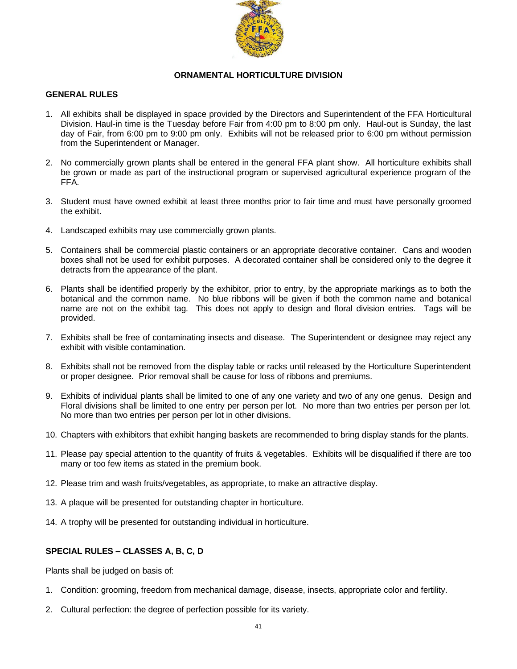

#### **ORNAMENTAL HORTICULTURE DIVISION**

#### **GENERAL RULES**

- 1. All exhibits shall be displayed in space provided by the Directors and Superintendent of the FFA Horticultural Division. Haul-in time is the Tuesday before Fair from 4:00 pm to 8:00 pm only. Haul-out is Sunday, the last day of Fair, from 6:00 pm to 9:00 pm only. Exhibits will not be released prior to 6:00 pm without permission from the Superintendent or Manager.
- 2. No commercially grown plants shall be entered in the general FFA plant show. All horticulture exhibits shall be grown or made as part of the instructional program or supervised agricultural experience program of the FFA.
- 3. Student must have owned exhibit at least three months prior to fair time and must have personally groomed the exhibit.
- 4. Landscaped exhibits may use commercially grown plants.
- 5. Containers shall be commercial plastic containers or an appropriate decorative container. Cans and wooden boxes shall not be used for exhibit purposes. A decorated container shall be considered only to the degree it detracts from the appearance of the plant.
- 6. Plants shall be identified properly by the exhibitor, prior to entry, by the appropriate markings as to both the botanical and the common name. No blue ribbons will be given if both the common name and botanical name are not on the exhibit tag. This does not apply to design and floral division entries. Tags will be provided.
- 7. Exhibits shall be free of contaminating insects and disease. The Superintendent or designee may reject any exhibit with visible contamination.
- 8. Exhibits shall not be removed from the display table or racks until released by the Horticulture Superintendent or proper designee. Prior removal shall be cause for loss of ribbons and premiums.
- 9. Exhibits of individual plants shall be limited to one of any one variety and two of any one genus. Design and Floral divisions shall be limited to one entry per person per lot. No more than two entries per person per lot. No more than two entries per person per lot in other divisions.
- 10. Chapters with exhibitors that exhibit hanging baskets are recommended to bring display stands for the plants.
- 11. Please pay special attention to the quantity of fruits & vegetables. Exhibits will be disqualified if there are too many or too few items as stated in the premium book.
- 12. Please trim and wash fruits/vegetables, as appropriate, to make an attractive display.
- 13. A plaque will be presented for outstanding chapter in horticulture.
- 14. A trophy will be presented for outstanding individual in horticulture.

## **SPECIAL RULES – CLASSES A, B, C, D**

Plants shall be judged on basis of:

- 1. Condition: grooming, freedom from mechanical damage, disease, insects, appropriate color and fertility.
- 2. Cultural perfection: the degree of perfection possible for its variety.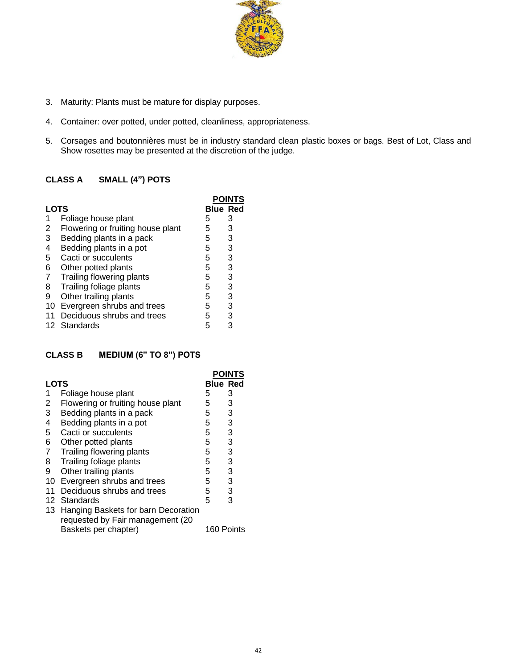

- 3. Maturity: Plants must be mature for display purposes.
- 4. Container: over potted, under potted, cleanliness, appropriateness.
- 5. Corsages and boutonnières must be in industry standard clean plastic boxes or bags. Best of Lot, Class and Show rosettes may be presented at the discretion of the judge.

# **CLASS A SMALL (4") POTS**

|                |                                   |   | <b>POINTS</b>   |  |
|----------------|-----------------------------------|---|-----------------|--|
| <b>LOTS</b>    |                                   |   | <b>Blue Red</b> |  |
|                | Foliage house plant               | 5 | З               |  |
| 2              | Flowering or fruiting house plant | 5 | 3               |  |
| 3              | Bedding plants in a pack          | 5 | 3               |  |
| 4              | Bedding plants in a pot           | 5 | 3               |  |
| 5              | Cacti or succulents               | 5 | 3               |  |
| 6              | Other potted plants               | 5 | 3               |  |
| $\overline{7}$ | Trailing flowering plants         | 5 | 3               |  |
| 8              | Trailing foliage plants           | 5 | 3               |  |
| 9              | Other trailing plants             | 5 | 3               |  |
| 10             | Evergreen shrubs and trees        | 5 | 3               |  |
|                | Deciduous shrubs and trees        | 5 | 3               |  |
|                | 12 Standards                      | 5 |                 |  |
|                |                                   |   |                 |  |

# **CLASS B MEDIUM (6" TO 8") POTS**

|                |                                                                         |                 | <b>POINTS</b> |
|----------------|-------------------------------------------------------------------------|-----------------|---------------|
| <b>LOTS</b>    |                                                                         | <b>Blue Red</b> |               |
| 1              | Foliage house plant                                                     | 5               | 3             |
| $\overline{2}$ | Flowering or fruiting house plant                                       | 5               | 3             |
| 3              | Bedding plants in a pack                                                | 5               | 3             |
| 4              | Bedding plants in a pot                                                 | 5               | 3             |
| 5              | Cacti or succulents                                                     | 5               | 3             |
| 6              | Other potted plants                                                     | 5               | 3             |
| $\overline{7}$ | Trailing flowering plants                                               | 5               | 3             |
| 8              | Trailing foliage plants                                                 | 5               | 3             |
| 9              | Other trailing plants                                                   | 5               | 3             |
| 10             | Evergreen shrubs and trees                                              | 5               | 3             |
| 11             | Deciduous shrubs and trees                                              | 5               | 3             |
|                | 12 Standards                                                            | 5               | 3             |
| 13             | Hanging Baskets for barn Decoration<br>requested by Fair management (20 |                 |               |
|                | Baskets per chapter)                                                    | 160 Points      |               |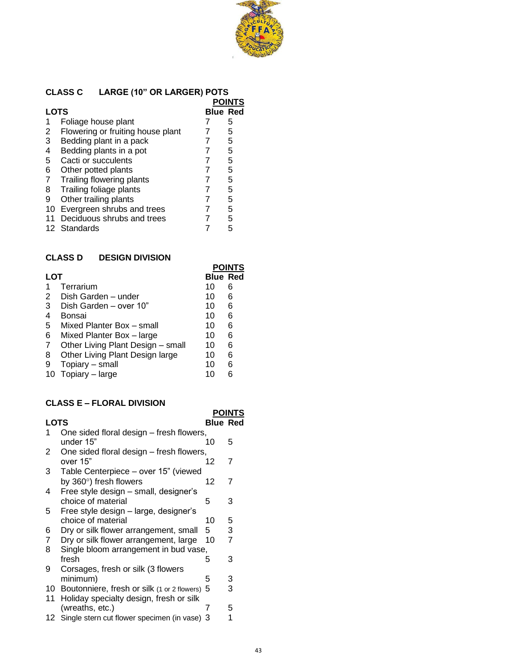

# **CLASS C LARGE (10" OR LARGER) POTS**

|      |                                   | POINTS          |  |
|------|-----------------------------------|-----------------|--|
| LOTS |                                   | <b>Blue Red</b> |  |
| 1    | Foliage house plant               | 5               |  |
| 2    | Flowering or fruiting house plant | 5               |  |
| 3    | Bedding plant in a pack           | 5               |  |
| 4    | Bedding plants in a pot           | 5               |  |
| 5    | Cacti or succulents               | 5               |  |
| 6    | Other potted plants               | 5               |  |
| 7    | Trailing flowering plants         | 5               |  |
| 8    | Trailing foliage plants           | 5               |  |
| 9    | Other trailing plants             | 5               |  |
| 10   | Evergreen shrubs and trees        | 5               |  |
| 11   | Deciduous shrubs and trees        | 5               |  |
|      | 12 Standards                      | 5               |  |

# **CLASS D DESIGN DIVISION**

|            |                                   |                 | POINTS |
|------------|-----------------------------------|-----------------|--------|
| <b>LOT</b> |                                   | <b>Blue Red</b> |        |
|            | Terrarium                         | 10              | 6      |
| 2          | Dish Garden - under               | 10              | 6      |
| 3          | Dish Garden - over 10"            | 10              | 6      |
| 4          | Bonsai                            | 10              | 6      |
| 5          | Mixed Planter Box - small         | 10              | 6      |
| 6          | Mixed Planter Box - large         | 10              | 6      |
| 7          | Other Living Plant Design - small | 10              | 6      |
| 8          | Other Living Plant Design large   | 10              | 6      |
| 9          | Topiary - small                   | 10              | 6      |
| 10         | Topiary - large                   | 10              |        |
|            |                                   |                 |        |

## **CLASS E – FLORAL DIVISION**

|             |                                                                                        |                 | <b>POINTS</b> |
|-------------|----------------------------------------------------------------------------------------|-----------------|---------------|
| <b>LOTS</b> |                                                                                        | <b>Blue Red</b> |               |
|             | One sided floral design – fresh flowers,<br>under 15"                                  | 10              | 5             |
| 2           | One sided floral design – fresh flowers,<br>over 15"                                   | 12              | 7             |
| 3           | Table Centerpiece - over 15" (viewed                                                   |                 |               |
| 4           | by $360^\circ$ ) fresh flowers<br>Free style design - small, designer's                | 12              | 7             |
|             | choice of material                                                                     | 5               | 3             |
| 5           | Free style design – large, designer's<br>choice of material                            | 10              | 5             |
| 6           | Dry or silk flower arrangement, small                                                  | 5               | 3             |
| 7<br>8      | Dry or silk flower arrangement, large<br>Single bloom arrangement in bud vase,         | 10              | 7             |
| 9           | fresh<br>Corsages, fresh or silk (3 flowers                                            | 5               | 3             |
|             | minimum)                                                                               | 5               | 3             |
| 10 -<br>11  | Boutonniere, fresh or silk (1 or 2 flowers)<br>Holiday specialty design, fresh or silk | 5               | 3             |
|             | (wreaths, etc.)                                                                        | 7               | 5             |
| 12.         | Single stern cut flower specimen (in vase) 3                                           |                 | 1             |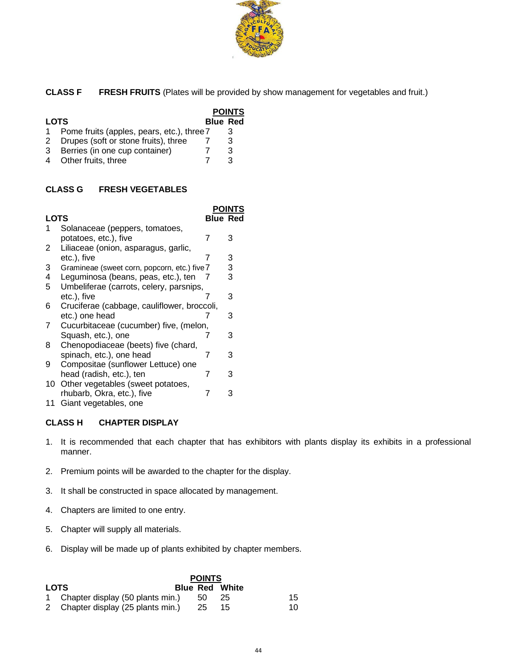

**CLASS F FRESH FRUITS** (Plates will be provided by show management for vegetables and fruit.)

|             |                                              |                 | <b>POINTS</b> |
|-------------|----------------------------------------------|-----------------|---------------|
| <b>LOTS</b> |                                              | <b>Blue Red</b> |               |
|             | 1 Pome fruits (apples, pears, etc.), three 7 |                 | З             |
| 2           | Drupes (soft or stone fruits), three         |                 | 3             |
| 3           | Berries (in one cup container)               |                 | 3             |
|             | 4 Other fruits, three                        |                 |               |

## **CLASS G FRESH VEGETABLES**

|      |                                              |                 | POINTS |
|------|----------------------------------------------|-----------------|--------|
| LOTS |                                              | <b>Blue Red</b> |        |
|      | Solanaceae (peppers, tomatoes,               |                 |        |
|      | potatoes, etc.), five                        | 7               | 3      |
| 2    | Liliaceae (onion, asparagus, garlic,         |                 |        |
|      | etc.), five                                  | 7               | 3      |
| 3    | Gramineae (sweet corn, popcorn, etc.) five 7 |                 | 3      |
| 4    | Leguminosa (beans, peas, etc.), ten          | 7               | 3      |
| 5    | Umbeliferae (carrots, celery, parsnips,      |                 |        |
|      | etc.), five                                  |                 | 3      |
| 6    | Cruciferae (cabbage, cauliflower, broccoli,  |                 |        |
|      | etc.) one head                               |                 | 3      |
| 7    | Cucurbitaceae (cucumber) five, (melon,       |                 |        |
|      | Squash, etc.), one                           | 7               | 3      |
| 8    | Chenopodiaceae (beets) five (chard,          |                 |        |
|      | spinach, etc.), one head                     | 7               | 3      |
| 9    | Compositae (sunflower Lettuce) one           |                 |        |
|      | head (radish, etc.), ten                     | 7               | 3      |
| 10   | Other vegetables (sweet potatoes,            |                 |        |
|      | rhubarb, Okra, etc.), five                   | 7               | 3      |
| 11   | Giant vegetables, one                        |                 |        |

## **CLASS H CHAPTER DISPLAY**

- 1. It is recommended that each chapter that has exhibitors with plants display its exhibits in a professional manner.
- 2. Premium points will be awarded to the chapter for the display.
- 3. It shall be constructed in space allocated by management.
- 4. Chapters are limited to one entry.
- 5. Chapter will supply all materials.
- 6. Display will be made up of plants exhibited by chapter members.

|             |                                    | <b>POINTS</b> |                       |    |
|-------------|------------------------------------|---------------|-----------------------|----|
| <b>LOTS</b> |                                    |               | <b>Blue Red White</b> |    |
|             | 1 Chapter display (50 plants min.) | -50           | -25                   | 15 |
|             | 2 Chapter display (25 plants min.) | -25           | 15                    | 10 |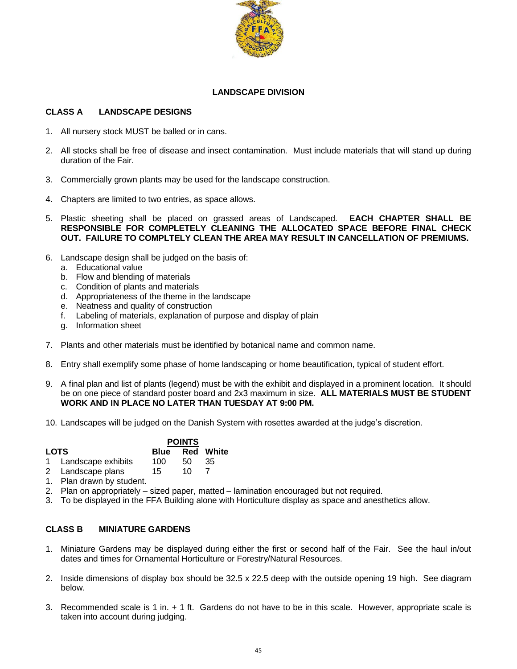

#### **LANDSCAPE DIVISION**

#### **CLASS A LANDSCAPE DESIGNS**

- 1. All nursery stock MUST be balled or in cans.
- 2. All stocks shall be free of disease and insect contamination. Must include materials that will stand up during duration of the Fair.
- 3. Commercially grown plants may be used for the landscape construction.
- 4. Chapters are limited to two entries, as space allows.
- 5. Plastic sheeting shall be placed on grassed areas of Landscaped. **EACH CHAPTER SHALL BE RESPONSIBLE FOR COMPLETELY CLEANING THE ALLOCATED SPACE BEFORE FINAL CHECK OUT. FAILURE TO COMPLTELY CLEAN THE AREA MAY RESULT IN CANCELLATION OF PREMIUMS.**
- 6. Landscape design shall be judged on the basis of:
	- a. Educational value
	- b. Flow and blending of materials
	- c. Condition of plants and materials
	- d. Appropriateness of the theme in the landscape
	- e. Neatness and quality of construction
	- f. Labeling of materials, explanation of purpose and display of plain
	- g. Information sheet
- 7. Plants and other materials must be identified by botanical name and common name.
- 8. Entry shall exemplify some phase of home landscaping or home beautification, typical of student effort.
- 9. A final plan and list of plants (legend) must be with the exhibit and displayed in a prominent location. It should be on one piece of standard poster board and 2x3 maximum in size. **ALL MATERIALS MUST BE STUDENT WORK AND IN PLACE NO LATER THAN TUESDAY AT 9:00 PM.**
- 10. Landscapes will be judged on the Danish System with rosettes awarded at the judge's discretion.

| <b>LOTS</b> |                      |     | <b>POINTS</b> |                       |  |
|-------------|----------------------|-----|---------------|-----------------------|--|
|             |                      |     |               | <b>Blue</b> Red White |  |
|             | 1 Landscape exhibits | 100 | 50.           | - 35                  |  |
|             | 2 Landscape plans    | 15. | 10            |                       |  |

- 1. Plan drawn by student.
- 2. Plan on appropriately sized paper, matted lamination encouraged but not required.
- 3. To be displayed in the FFA Building alone with Horticulture display as space and anesthetics allow.

## **CLASS B MINIATURE GARDENS**

- 1. Miniature Gardens may be displayed during either the first or second half of the Fair. See the haul in/out dates and times for Ornamental Horticulture or Forestry/Natural Resources.
- 2. Inside dimensions of display box should be 32.5 x 22.5 deep with the outside opening 19 high. See diagram below.
- 3. Recommended scale is 1 in. + 1 ft. Gardens do not have to be in this scale. However, appropriate scale is taken into account during judging.